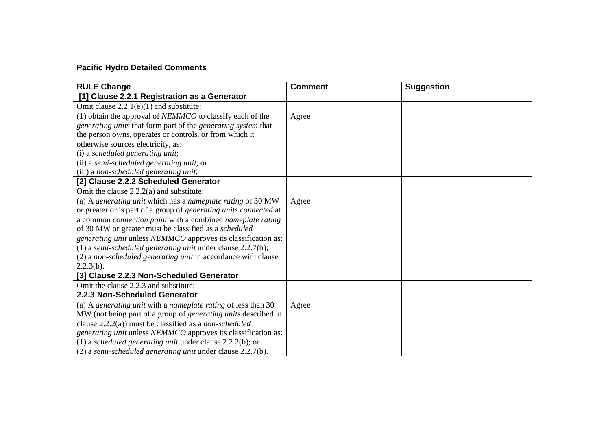## **Pacific Hydro Detailed Comments**

| <b>RULE Change</b>                                                       | <b>Comment</b> | <b>Suggestion</b> |
|--------------------------------------------------------------------------|----------------|-------------------|
| [1] Clause 2.2.1 Registration as a Generator                             |                |                   |
| Omit clause $2.2.1(e)(1)$ and substitute:                                |                |                   |
| $(1)$ obtain the approval of <i>NEMMCO</i> to classify each of the       | Agree          |                   |
| generating units that form part of the generating system that            |                |                   |
| the person owns, operates or controls, or from which it                  |                |                   |
| otherwise sources electricity, as:                                       |                |                   |
| (i) a scheduled generating unit;                                         |                |                   |
| (ii) a semi-scheduled generating unit; or                                |                |                   |
| (iii) a non-scheduled generating unit;                                   |                |                   |
| [2] Clause 2.2.2 Scheduled Generator                                     |                |                   |
| Omit the clause 2.2.2(a) and substitute:                                 |                |                   |
| (a) A generating unit which has a nameplate rating of 30 MW              | Agree          |                   |
| or greater or is part of a group of generating units connected at        |                |                   |
| a common <i>connection point</i> with a combined <i>nameplate rating</i> |                |                   |
| of 30 MW or greater must be classified as a scheduled                    |                |                   |
| generating unit unless NEMMCO approves its classification as:            |                |                   |
| (1) a semi-scheduled generating unit under clause $2.2.7(b)$ ;           |                |                   |
| (2) a non-scheduled generating unit in accordance with clause            |                |                   |
| 2.2.3(b).                                                                |                |                   |
| [3] Clause 2.2.3 Non-Scheduled Generator                                 |                |                   |
| Omit the clause 2.2.3 and substitute:                                    |                |                   |
| 2.2.3 Non-Scheduled Generator                                            |                |                   |
| (a) A generating unit with a nameplate rating of less than $30$          | Agree          |                   |
| MW (not being part of a group of <i>generating units</i> described in    |                |                   |
| clause $2.2.2(a)$ ) must be classified as a non-scheduled                |                |                   |
| generating unit unless NEMMCO approves its classification as:            |                |                   |
| (1) a scheduled generating unit under clause $2.2.2(b)$ ; or             |                |                   |
| (2) a semi-scheduled generating unit under clause 2.2.7(b).              |                |                   |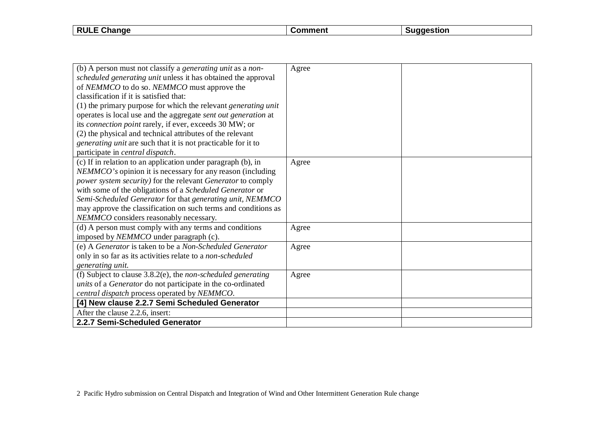| .<br>.<br>.<br>--<br>91 K<br>m |                        |  |  |
|--------------------------------|------------------------|--|--|
|                                | <b>RULE</b><br>Unange∪ |  |  |

| (b) A person must not classify a <i>generating unit</i> as a <i>non</i> - | Agree |  |
|---------------------------------------------------------------------------|-------|--|
| scheduled generating unit unless it has obtained the approval             |       |  |
| of NEMMCO to do so. NEMMCO must approve the                               |       |  |
| classification if it is satisfied that:                                   |       |  |
| (1) the primary purpose for which the relevant <i>generating unit</i>     |       |  |
| operates is local use and the aggregate sent out generation at            |       |  |
| its <i>connection point</i> rarely, if ever, exceeds 30 MW; or            |       |  |
| (2) the physical and technical attributes of the relevant                 |       |  |
| <i>generating unit</i> are such that it is not practicable for it to      |       |  |
| participate in <i>central dispatch</i> .                                  |       |  |
| (c) If in relation to an application under paragraph (b), in              | Agree |  |
| NEMMCO's opinion it is necessary for any reason (including                |       |  |
| power system security) for the relevant Generator to comply               |       |  |
| with some of the obligations of a Scheduled Generator or                  |       |  |
| Semi-Scheduled Generator for that generating unit, NEMMCO                 |       |  |
| may approve the classification on such terms and conditions as            |       |  |
| NEMMCO considers reasonably necessary.                                    |       |  |
| (d) A person must comply with any terms and conditions                    | Agree |  |
| imposed by NEMMCO under paragraph (c).                                    |       |  |
| (e) A Generator is taken to be a Non-Scheduled Generator                  | Agree |  |
| only in so far as its activities relate to a non-scheduled                |       |  |
| generating unit.                                                          |       |  |
| (f) Subject to clause $3.8.2(e)$ , the <i>non-scheduled generating</i>    | Agree |  |
| units of a Generator do not participate in the co-ordinated               |       |  |
| central dispatch process operated by NEMMCO.                              |       |  |
| [4] New clause 2.2.7 Semi Scheduled Generator                             |       |  |
| After the clause 2.2.6, insert:                                           |       |  |
| 2.2.7 Semi-Scheduled Generator                                            |       |  |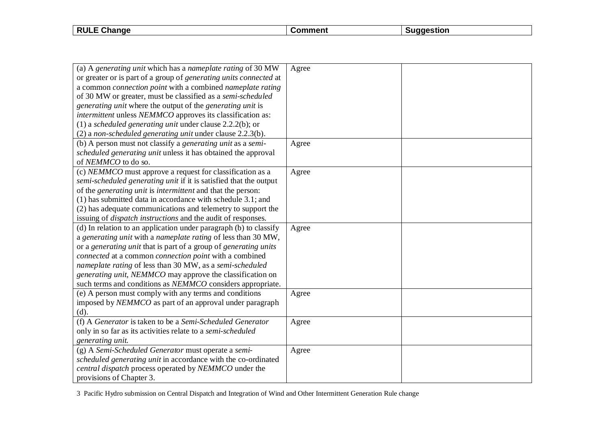| <b>RULE</b><br>Change | ഹ∼ | aestion |
|-----------------------|----|---------|
|                       |    |         |

| (a) A generating unit which has a nameplate rating of 30 MW               | Agree |  |
|---------------------------------------------------------------------------|-------|--|
| or greater or is part of a group of generating units connected at         |       |  |
| a common <i>connection point</i> with a combined <i>nameplate rating</i>  |       |  |
| of 30 MW or greater, must be classified as a semi-scheduled               |       |  |
| <i>generating unit</i> where the output of the <i>generating unit</i> is  |       |  |
| intermittent unless NEMMCO approves its classification as:                |       |  |
| (1) a scheduled generating unit under clause $2.2.2(b)$ ; or              |       |  |
| (2) a non-scheduled generating unit under clause 2.2.3(b).                |       |  |
| (b) A person must not classify a generating unit as a semi-               | Agree |  |
| scheduled generating unit unless it has obtained the approval             |       |  |
| of NEMMCO to do so.                                                       |       |  |
| (c) NEMMCO must approve a request for classification as a                 | Agree |  |
| semi-scheduled generating unit if it is satisfied that the output         |       |  |
| of the <i>generating unit</i> is <i>intermittent</i> and that the person: |       |  |
| (1) has submitted data in accordance with schedule 3.1; and               |       |  |
| (2) has adequate communications and telemetry to support the              |       |  |
| issuing of <i>dispatch instructions</i> and the audit of responses.       |       |  |
| (d) In relation to an application under paragraph (b) to classify         | Agree |  |
| a generating unit with a nameplate rating of less than 30 MW,             |       |  |
| or a generating unit that is part of a group of generating units          |       |  |
| connected at a common connection point with a combined                    |       |  |
| nameplate rating of less than 30 MW, as a semi-scheduled                  |       |  |
| generating unit, NEMMCO may approve the classification on                 |       |  |
| such terms and conditions as NEMMCO considers appropriate.                |       |  |
| (e) A person must comply with any terms and conditions                    | Agree |  |
| imposed by NEMMCO as part of an approval under paragraph                  |       |  |
| (d).                                                                      |       |  |
| (f) A Generator is taken to be a Semi-Scheduled Generator                 | Agree |  |
| only in so far as its activities relate to a semi-scheduled               |       |  |
| generating unit.                                                          |       |  |
| (g) A Semi-Scheduled Generator must operate a semi-                       | Agree |  |
| scheduled generating unit in accordance with the co-ordinated             |       |  |
| central dispatch process operated by NEMMCO under the                     |       |  |
| provisions of Chapter 3.                                                  |       |  |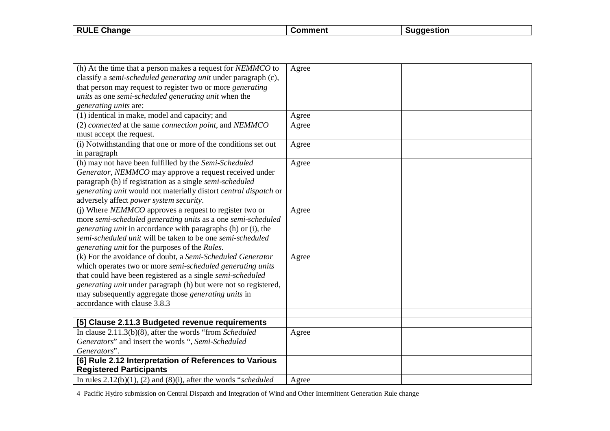| <b>RULE</b><br>Change | $\sim$ mment $\sim$<br>omn | laestion |
|-----------------------|----------------------------|----------|
|                       |                            |          |

| (h) At the time that a person makes a request for <i>NEMMCO</i> to   | Agree |  |
|----------------------------------------------------------------------|-------|--|
| classify a semi-scheduled generating unit under paragraph (c),       |       |  |
| that person may request to register two or more generating           |       |  |
| units as one semi-scheduled generating unit when the                 |       |  |
| generating units are:                                                |       |  |
|                                                                      |       |  |
| (1) identical in make, model and capacity; and                       | Agree |  |
| (2) connected at the same connection point, and NEMMCO               | Agree |  |
| must accept the request.                                             |       |  |
| (i) Notwithstanding that one or more of the conditions set out       | Agree |  |
| in paragraph                                                         |       |  |
| (h) may not have been fulfilled by the Semi-Scheduled                | Agree |  |
| Generator, NEMMCO may approve a request received under               |       |  |
| paragraph (h) if registration as a single semi-scheduled             |       |  |
| generating unit would not materially distort central dispatch or     |       |  |
| adversely affect power system security.                              |       |  |
| (i) Where <i>NEMMCO</i> approves a request to register two or        | Agree |  |
| more semi-scheduled generating units as a one semi-scheduled         |       |  |
| <i>generating unit</i> in accordance with paragraphs (h) or (i), the |       |  |
| semi-scheduled unit will be taken to be one semi-scheduled           |       |  |
| generating unit for the purposes of the Rules.                       |       |  |
| (k) For the avoidance of doubt, a Semi-Scheduled Generator           | Agree |  |
| which operates two or more semi-scheduled generating units           |       |  |
| that could have been registered as a single semi-scheduled           |       |  |
| generating unit under paragraph (h) but were not so registered,      |       |  |
| may subsequently aggregate those <i>generating units</i> in          |       |  |
| accordance with clause 3.8.3                                         |       |  |
|                                                                      |       |  |
| [5] Clause 2.11.3 Budgeted revenue requirements                      |       |  |
| In clause $2.11.3(b)(8)$ , after the words "from Scheduled"          | Agree |  |
| Generators" and insert the words ", Semi-Scheduled                   |       |  |
| Generators".                                                         |       |  |
| [6] Rule 2.12 Interpretation of References to Various                |       |  |
| <b>Registered Participants</b>                                       |       |  |
| In rules $2.12(b)(1)$ , (2) and (8)(i), after the words "scheduled   | Agree |  |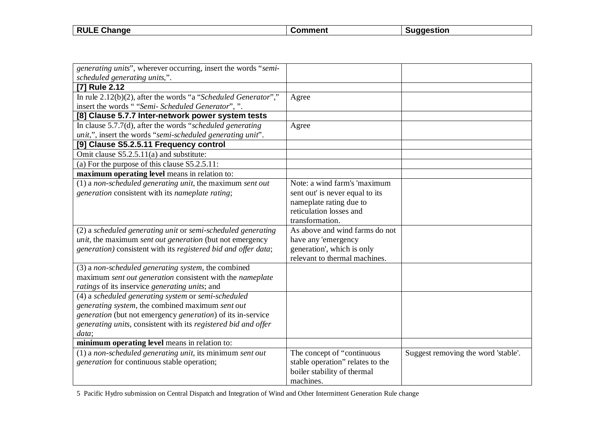| <b>RULE</b><br>$\sim$<br><b>Change</b> | $\sim$ $\sim$ $\sim$ $\sim$ | laestion |
|----------------------------------------|-----------------------------|----------|
|                                        |                             |          |

| generating units", wherever occurring, insert the words "semi-    |                                  |                                     |
|-------------------------------------------------------------------|----------------------------------|-------------------------------------|
| scheduled generating units,".                                     |                                  |                                     |
| <b>[7] Rule 2.12</b>                                              |                                  |                                     |
| In rule $2.12(b)(2)$ , after the words "a "Scheduled Generator"," | Agree                            |                                     |
| insert the words ""Semi- Scheduled Generator",".                  |                                  |                                     |
| [8] Clause 5.7.7 Inter-network power system tests                 |                                  |                                     |
| In clause $5.7.7(d)$ , after the words "scheduled generating"     | Agree                            |                                     |
| unit,", insert the words "semi-scheduled generating unit".        |                                  |                                     |
| [9] Clause S5.2.5.11 Frequency control                            |                                  |                                     |
| Omit clause S5.2.5.11(a) and substitute:                          |                                  |                                     |
| (a) For the purpose of this clause $S5.2.5.11$ :                  |                                  |                                     |
| maximum operating level means in relation to:                     |                                  |                                     |
| $(1)$ a non-scheduled generating unit, the maximum sent out       | Note: a wind farm's 'maximum     |                                     |
| generation consistent with its nameplate rating;                  | sent out' is never equal to its  |                                     |
|                                                                   | nameplate rating due to          |                                     |
|                                                                   | reticulation losses and          |                                     |
|                                                                   | transformation.                  |                                     |
| (2) a scheduled generating unit or semi-scheduled generating      | As above and wind farms do not   |                                     |
| unit, the maximum sent out generation (but not emergency          | have any 'emergency              |                                     |
| generation) consistent with its registered bid and offer data;    | generation', which is only       |                                     |
|                                                                   | relevant to thermal machines.    |                                     |
| (3) a non-scheduled generating system, the combined               |                                  |                                     |
| maximum sent out generation consistent with the nameplate         |                                  |                                     |
| ratings of its inservice generating units; and                    |                                  |                                     |
| (4) a scheduled generating system or semi-scheduled               |                                  |                                     |
| generating system, the combined maximum sent out                  |                                  |                                     |
| generation (but not emergency generation) of its in-service       |                                  |                                     |
| generating units, consistent with its registered bid and offer    |                                  |                                     |
| data;                                                             |                                  |                                     |
| minimum operating level means in relation to:                     |                                  |                                     |
| (1) a non-scheduled generating unit, its minimum sent out         | The concept of "continuous       | Suggest removing the word 'stable'. |
| <i>generation</i> for continuous stable operation;                | stable operation" relates to the |                                     |
|                                                                   | boiler stability of thermal      |                                     |
|                                                                   | machines.                        |                                     |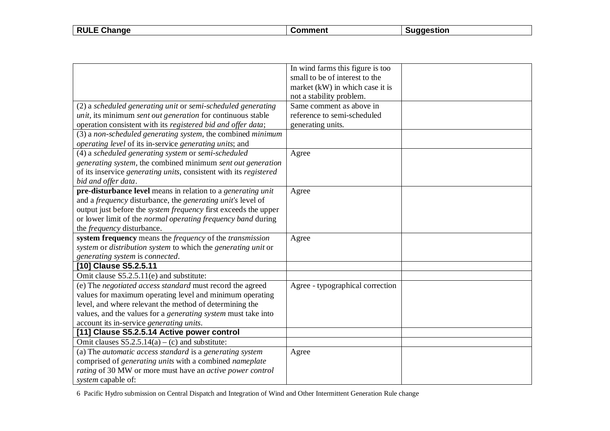| <b>RULE Change</b> | Comment | <b>Suggestion</b> |
|--------------------|---------|-------------------|

|                                                                            | In wind farms this figure is too |  |
|----------------------------------------------------------------------------|----------------------------------|--|
|                                                                            | small to be of interest to the   |  |
|                                                                            | market (kW) in which case it is  |  |
|                                                                            | not a stability problem.         |  |
| (2) a scheduled generating unit or semi-scheduled generating               | Same comment as above in         |  |
| <i>unit</i> , its minimum <i>sent out generation</i> for continuous stable | reference to semi-scheduled      |  |
| operation consistent with its registered bid and offer data;               | generating units.                |  |
| (3) a non-scheduled generating system, the combined minimum                |                                  |  |
| operating level of its in-service generating units; and                    |                                  |  |
| (4) a scheduled generating system or semi-scheduled                        | Agree                            |  |
| generating system, the combined minimum sent out generation                |                                  |  |
| of its inservice generating units, consistent with its registered          |                                  |  |
| bid and offer data.                                                        |                                  |  |
| pre-disturbance level means in relation to a generating unit               | Agree                            |  |
| and a <i>frequency</i> disturbance, the <i>generating unit's</i> level of  |                                  |  |
| output just before the <i>system frequency</i> first exceeds the upper     |                                  |  |
| or lower limit of the normal operating frequency band during               |                                  |  |
| the <i>frequency</i> disturbance.                                          |                                  |  |
| system frequency means the frequency of the transmission                   | Agree                            |  |
| system or distribution system to which the generating unit or              |                                  |  |
| generating system is connected.                                            |                                  |  |
| [10] Clause S5.2.5.11                                                      |                                  |  |
| Omit clause S5.2.5.11(e) and substitute:                                   |                                  |  |
| (e) The negotiated access standard must record the agreed                  | Agree - typographical correction |  |
| values for maximum operating level and minimum operating                   |                                  |  |
| level, and where relevant the method of determining the                    |                                  |  |
| values, and the values for a <i>generating system</i> must take into       |                                  |  |
| account its in-service generating units.                                   |                                  |  |
| [11] Clause S5.2.5.14 Active power control                                 |                                  |  |
| Omit clauses $S5.2.5.14(a) - (c)$ and substitute:                          |                                  |  |
| (a) The automatic access standard is a generating system                   | Agree                            |  |
| comprised of generating units with a combined nameplate                    |                                  |  |
| rating of 30 MW or more must have an active power control                  |                                  |  |
| system capable of:                                                         |                                  |  |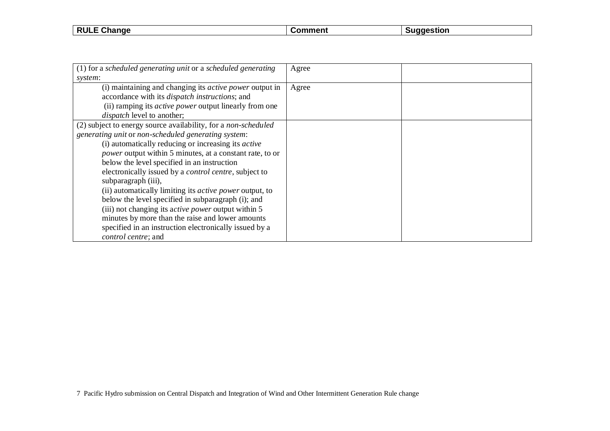| <b>RULE</b><br>ange<br>- 112 | . | . |
|------------------------------|---|---|
|                              |   |   |

| (1) for a scheduled generating unit or a scheduled generating   | Agree |  |
|-----------------------------------------------------------------|-------|--|
| system:                                                         |       |  |
| (i) maintaining and changing its <i>active power</i> output in  | Agree |  |
| accordance with its <i>dispatch instructions</i> ; and          |       |  |
| (ii) ramping its <i>active power</i> output linearly from one   |       |  |
| <i>dispatch</i> level to another;                               |       |  |
| (2) subject to energy source availability, for a non-scheduled  |       |  |
| generating unit or non-scheduled generating system:             |       |  |
| (i) automatically reducing or increasing its <i>active</i>      |       |  |
| <i>power</i> output within 5 minutes, at a constant rate, to or |       |  |
| below the level specified in an instruction                     |       |  |
| electronically issued by a <i>control centre</i> , subject to   |       |  |
| subparagraph (iii),                                             |       |  |
| (ii) automatically limiting its <i>active power</i> output, to  |       |  |
| below the level specified in subparagraph (i); and              |       |  |
| (iii) not changing its active power output within 5             |       |  |
| minutes by more than the raise and lower amounts                |       |  |
| specified in an instruction electronically issued by a          |       |  |
| <i>control centre; and</i>                                      |       |  |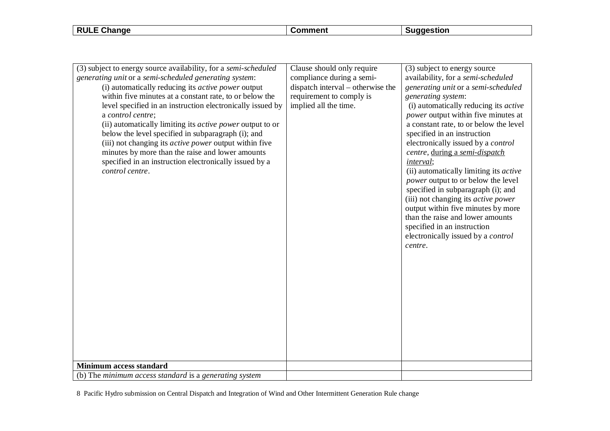**RULE Change Comment Suggestion** 

| (3) subject to energy source availability, for a semi-scheduled  | Clause should only require        | (3) subject to energy source                 |
|------------------------------------------------------------------|-----------------------------------|----------------------------------------------|
| generating unit or a semi-scheduled generating system:           | compliance during a semi-         | availability, for a semi-scheduled           |
| (i) automatically reducing its <i>active power</i> output        | dispatch interval – otherwise the | generating unit or a semi-scheduled          |
| within five minutes at a constant rate, to or below the          | requirement to comply is          | generating system:                           |
| level specified in an instruction electronically issued by       | implied all the time.             | (i) automatically reducing its <i>active</i> |
| a control centre;                                                |                                   | power output within five minutes at          |
| (ii) automatically limiting its <i>active power</i> output to or |                                   | a constant rate, to or below the level       |
| below the level specified in subparagraph (i); and               |                                   | specified in an instruction                  |
| (iii) not changing its <i>active power</i> output within five    |                                   | electronically issued by a control           |
| minutes by more than the raise and lower amounts                 |                                   | centre, during a semi-dispatch               |
| specified in an instruction electronically issued by a           |                                   | interval;                                    |
| control centre.                                                  |                                   | (ii) automatically limiting its active       |
|                                                                  |                                   | power output to or below the level           |
|                                                                  |                                   | specified in subparagraph (i); and           |
|                                                                  |                                   | (iii) not changing its <i>active power</i>   |
|                                                                  |                                   | output within five minutes by more           |
|                                                                  |                                   | than the raise and lower amounts             |
|                                                                  |                                   | specified in an instruction                  |
|                                                                  |                                   | electronically issued by a control           |
|                                                                  |                                   | centre.                                      |
|                                                                  |                                   |                                              |
|                                                                  |                                   |                                              |
|                                                                  |                                   |                                              |
|                                                                  |                                   |                                              |
|                                                                  |                                   |                                              |
|                                                                  |                                   |                                              |
|                                                                  |                                   |                                              |
|                                                                  |                                   |                                              |
|                                                                  |                                   |                                              |
|                                                                  |                                   |                                              |
|                                                                  |                                   |                                              |
| <b>Minimum access standard</b>                                   |                                   |                                              |
| (b) The minimum access standard is a generating system           |                                   |                                              |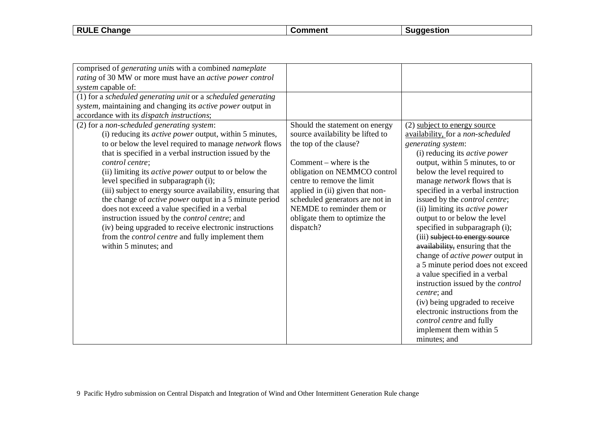**RULE Change Comment Comment Suggestion** 

| comprised of generating units with a combined nameplate        |                                  |                                          |
|----------------------------------------------------------------|----------------------------------|------------------------------------------|
| rating of 30 MW or more must have an active power control      |                                  |                                          |
| system capable of:                                             |                                  |                                          |
| (1) for a scheduled generating unit or a scheduled generating  |                                  |                                          |
| system, maintaining and changing its active power output in    |                                  |                                          |
| accordance with its dispatch instructions;                     |                                  |                                          |
| (2) for a non-scheduled generating system:                     | Should the statement on energy   | (2) subject to energy source             |
| (i) reducing its <i>active power</i> output, within 5 minutes, | source availability be lifted to | availability, for a non-scheduled        |
| to or below the level required to manage network flows         | the top of the clause?           | generating system:                       |
| that is specified in a verbal instruction issued by the        |                                  | (i) reducing its <i>active power</i>     |
| control centre;                                                | Comment – where is the           | output, within 5 minutes, to or          |
| (ii) limiting its <i>active power</i> output to or below the   | obligation on NEMMCO control     | below the level required to              |
| level specified in subparagraph (i);                           | centre to remove the limit       | manage <i>network</i> flows that is      |
| (iii) subject to energy source availability, ensuring that     | applied in (ii) given that non-  | specified in a verbal instruction        |
| the change of <i>active power</i> output in a 5 minute period  | scheduled generators are not in  | issued by the <i>control centre</i> ;    |
| does not exceed a value specified in a verbal                  | NEMDE to reminder them or        | (ii) limiting its <i>active power</i>    |
| instruction issued by the <i>control centre</i> ; and          | obligate them to optimize the    | output to or below the level             |
| (iv) being upgraded to receive electronic instructions         | dispatch?                        | specified in subparagraph (i);           |
| from the <i>control centre</i> and fully implement them        |                                  | (iii) subject to energy source           |
| within 5 minutes; and                                          |                                  | availability, ensuring that the          |
|                                                                |                                  | change of <i>active power</i> output in  |
|                                                                |                                  | a 5 minute period does not exceed        |
|                                                                |                                  | a value specified in a verbal            |
|                                                                |                                  | instruction issued by the <i>control</i> |
|                                                                |                                  | centre; and                              |
|                                                                |                                  | (iv) being upgraded to receive           |
|                                                                |                                  | electronic instructions from the         |
|                                                                |                                  | control centre and fully                 |
|                                                                |                                  | implement them within 5                  |
|                                                                |                                  | minutes; and                             |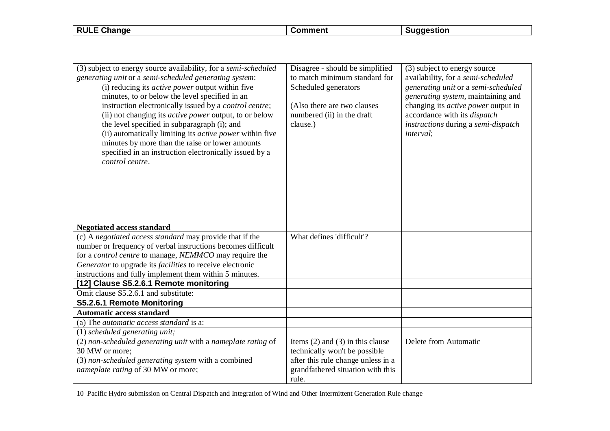**RULE Change Comment Suggestion** 

| (3) subject to energy source availability, for a semi-scheduled<br>generating unit or a semi-scheduled generating system:<br>(i) reducing its <i>active power</i> output within five<br>minutes, to or below the level specified in an<br>instruction electronically issued by a <i>control centre</i> ;<br>(ii) not changing its <i>active power</i> output, to or below<br>the level specified in subparagraph (i); and<br>(ii) automatically limiting its <i>active power</i> within five<br>minutes by more than the raise or lower amounts<br>specified in an instruction electronically issued by a<br>control centre. | Disagree - should be simplified<br>to match minimum standard for<br>Scheduled generators<br>(Also there are two clauses<br>numbered (ii) in the draft<br>clause.) | (3) subject to energy source<br>availability, for a semi-scheduled<br>generating unit or a semi-scheduled<br>generating system, maintaining and<br>changing its <i>active power</i> output in<br>accordance with its <i>dispatch</i><br>instructions during a semi-dispatch<br>interval; |
|------------------------------------------------------------------------------------------------------------------------------------------------------------------------------------------------------------------------------------------------------------------------------------------------------------------------------------------------------------------------------------------------------------------------------------------------------------------------------------------------------------------------------------------------------------------------------------------------------------------------------|-------------------------------------------------------------------------------------------------------------------------------------------------------------------|------------------------------------------------------------------------------------------------------------------------------------------------------------------------------------------------------------------------------------------------------------------------------------------|
| <b>Negotiated access standard</b>                                                                                                                                                                                                                                                                                                                                                                                                                                                                                                                                                                                            |                                                                                                                                                                   |                                                                                                                                                                                                                                                                                          |
| (c) A negotiated access standard may provide that if the<br>number or frequency of verbal instructions becomes difficult<br>for a <i>control centre</i> to manage, <i>NEMMCO</i> may require the<br>Generator to upgrade its facilities to receive electronic<br>instructions and fully implement them within 5 minutes.                                                                                                                                                                                                                                                                                                     | What defines 'difficult'?                                                                                                                                         |                                                                                                                                                                                                                                                                                          |
| [12] Clause S5.2.6.1 Remote monitoring                                                                                                                                                                                                                                                                                                                                                                                                                                                                                                                                                                                       |                                                                                                                                                                   |                                                                                                                                                                                                                                                                                          |
| Omit clause S5.2.6.1 and substitute:                                                                                                                                                                                                                                                                                                                                                                                                                                                                                                                                                                                         |                                                                                                                                                                   |                                                                                                                                                                                                                                                                                          |
| S5.2.6.1 Remote Monitoring                                                                                                                                                                                                                                                                                                                                                                                                                                                                                                                                                                                                   |                                                                                                                                                                   |                                                                                                                                                                                                                                                                                          |
| <b>Automatic access standard</b>                                                                                                                                                                                                                                                                                                                                                                                                                                                                                                                                                                                             |                                                                                                                                                                   |                                                                                                                                                                                                                                                                                          |
| (a) The <i>automatic access standard</i> is a:                                                                                                                                                                                                                                                                                                                                                                                                                                                                                                                                                                               |                                                                                                                                                                   |                                                                                                                                                                                                                                                                                          |
| $(1)$ scheduled generating unit;                                                                                                                                                                                                                                                                                                                                                                                                                                                                                                                                                                                             |                                                                                                                                                                   |                                                                                                                                                                                                                                                                                          |
| (2) non-scheduled generating unit with a nameplate rating of<br>30 MW or more;<br>(3) non-scheduled generating system with a combined<br>nameplate rating of 30 MW or more;                                                                                                                                                                                                                                                                                                                                                                                                                                                  | Items $(2)$ and $(3)$ in this clause<br>technically won't be possible<br>after this rule change unless in a<br>grandfathered situation with this<br>rule.         | Delete from Automatic                                                                                                                                                                                                                                                                    |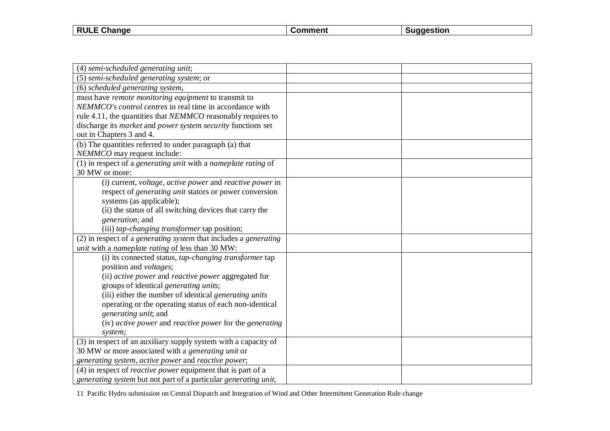| <b>RULE</b><br>Change | $\sim$ mment $\sim$<br>omn | laestion |
|-----------------------|----------------------------|----------|
|                       |                            |          |

| (4) semi-scheduled generating unit;                                 |  |
|---------------------------------------------------------------------|--|
| (5) semi-scheduled generating system; or                            |  |
| (6) scheduled generating system,                                    |  |
| must have remote monitoring equipment to transmit to                |  |
| NEMMCO's control centres in real time in accordance with            |  |
| rule 4.11, the quantities that NEMMCO reasonably requires to        |  |
| discharge its market and power system security functions set        |  |
| out in Chapters 3 and 4.                                            |  |
| (b) The quantities referred to under paragraph (a) that             |  |
| NEMMCO may request include:                                         |  |
| $(1)$ in respect of a generating unit with a nameplate rating of    |  |
| 30 MW or more:                                                      |  |
| (i) current, voltage, active power and reactive power in            |  |
| respect of <i>generating unit</i> stators or power conversion       |  |
| systems (as applicable);                                            |  |
| (ii) the status of all switching devices that carry the             |  |
| generation; and                                                     |  |
| (iii) tap-changing transformer tap position;                        |  |
| (2) in respect of a generating system that includes a generating    |  |
| unit with a nameplate rating of less than 30 MW:                    |  |
| (i) its connected status, <i>tap-changing transformer</i> tap       |  |
| position and <i>voltages</i> ;                                      |  |
| (ii) active power and reactive power aggregated for                 |  |
| groups of identical generating units;                               |  |
| (iii) either the number of identical generating units               |  |
| operating or the operating status of each non-identical             |  |
| generating unit; and                                                |  |
| (iv) active power and reactive power for the generating             |  |
| system;                                                             |  |
| (3) in respect of an auxiliary supply system with a capacity of     |  |
| 30 MW or more associated with a generating unit or                  |  |
| generating system, active power and reactive power;                 |  |
| (4) in respect of <i>reactive power</i> equipment that is part of a |  |
| generating system but not part of a particular generating unit,     |  |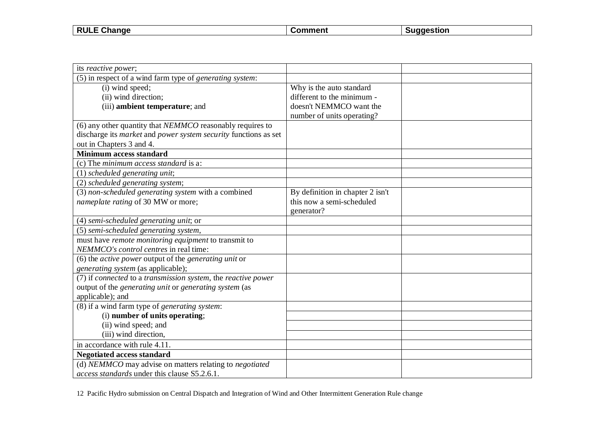| <b>RULE</b><br>$\sim$<br><b>Change</b> | $\sim$ $\sim$ $\sim$ $\sim$ | laestion |
|----------------------------------------|-----------------------------|----------|
|                                        |                             |          |

| its reactive power;                                                 |                                  |  |
|---------------------------------------------------------------------|----------------------------------|--|
| (5) in respect of a wind farm type of <i>generating system</i> :    |                                  |  |
| (i) wind speed;                                                     | Why is the auto standard         |  |
| (ii) wind direction;                                                | different to the minimum -       |  |
| (iii) ambient temperature; and                                      | doesn't NEMMCO want the          |  |
|                                                                     | number of units operating?       |  |
| (6) any other quantity that NEMMCO reasonably requires to           |                                  |  |
| discharge its market and power system security functions as set     |                                  |  |
| out in Chapters 3 and 4.                                            |                                  |  |
| <b>Minimum access standard</b>                                      |                                  |  |
| (c) The minimum access standard is a:                               |                                  |  |
| (1) scheduled generating unit;                                      |                                  |  |
| (2) scheduled generating system;                                    |                                  |  |
| (3) non-scheduled generating system with a combined                 | By definition in chapter 2 isn't |  |
| nameplate rating of 30 MW or more;                                  | this now a semi-scheduled        |  |
|                                                                     | generator?                       |  |
| (4) semi-scheduled generating unit; or                              |                                  |  |
| (5) semi-scheduled generating system,                               |                                  |  |
| must have remote monitoring equipment to transmit to                |                                  |  |
| NEMMCO's control centres in real time:                              |                                  |  |
| (6) the <i>active power</i> output of the <i>generating unit</i> or |                                  |  |
| generating system (as applicable);                                  |                                  |  |
| (7) if connected to a transmission system, the reactive power       |                                  |  |
| output of the generating unit or generating system (as              |                                  |  |
| applicable); and                                                    |                                  |  |
| (8) if a wind farm type of generating system:                       |                                  |  |
| (i) number of units operating;                                      |                                  |  |
| (ii) wind speed; and                                                |                                  |  |
| (iii) wind direction,                                               |                                  |  |
| in accordance with rule 4.11.                                       |                                  |  |
| <b>Negotiated access standard</b>                                   |                                  |  |
| (d) NEMMCO may advise on matters relating to negotiated             |                                  |  |
| access standards under this clause S5.2.6.1.                        |                                  |  |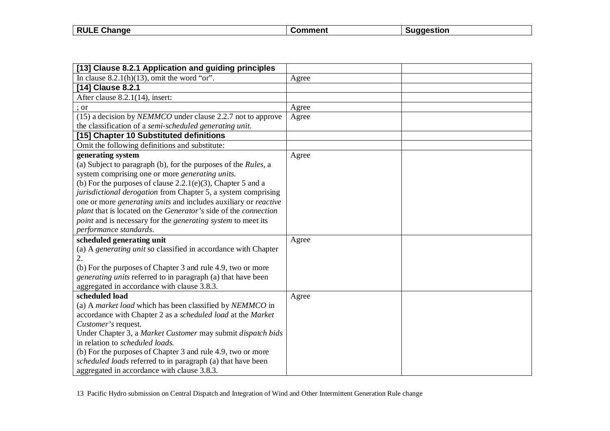| <b>RULE</b><br>Change<br>- - | .omment | iagestion |
|------------------------------|---------|-----------|
|                              |         |           |

 $\overline{\phantom{a}}$ 

| [13] Clause 8.2.1 Application and guiding principles                          |       |  |
|-------------------------------------------------------------------------------|-------|--|
| In clause $8.2.1(h)(13)$ , omit the word "or".                                | Agree |  |
| [14] Clause 8.2.1                                                             |       |  |
| After clause 8.2.1(14), insert:                                               |       |  |
| ; or                                                                          | Agree |  |
| (15) a decision by <i>NEMMCO</i> under clause 2.2.7 not to approve            | Agree |  |
| the classification of a semi-scheduled generating unit.                       |       |  |
| [15] Chapter 10 Substituted definitions                                       |       |  |
| Omit the following definitions and substitute:                                |       |  |
| generating system                                                             | Agree |  |
| (a) Subject to paragraph (b), for the purposes of the Rules, a                |       |  |
| system comprising one or more generating units.                               |       |  |
| (b) For the purposes of clause $2.2.1(e)(3)$ , Chapter 5 and a                |       |  |
| jurisdictional derogation from Chapter 5, a system comprising                 |       |  |
| one or more <i>generating units</i> and includes auxiliary or <i>reactive</i> |       |  |
| plant that is located on the Generator's side of the connection               |       |  |
| <i>point</i> and is necessary for the <i>generating</i> system to meet its    |       |  |
| performance standards.                                                        |       |  |
| scheduled generating unit                                                     | Agree |  |
| (a) A generating unit so classified in accordance with Chapter                |       |  |
| 2.                                                                            |       |  |
| (b) For the purposes of Chapter 3 and rule 4.9, two or more                   |       |  |
| generating units referred to in paragraph (a) that have been                  |       |  |
| aggregated in accordance with clause 3.8.3.                                   |       |  |
| scheduled load                                                                | Agree |  |
| (a) A market load which has been classified by NEMMCO in                      |       |  |
| accordance with Chapter 2 as a scheduled load at the Market                   |       |  |
| Customer's request.                                                           |       |  |
| Under Chapter 3, a Market Customer may submit dispatch bids                   |       |  |
| in relation to <i>scheduled loads</i> .                                       |       |  |
| (b) For the purposes of Chapter 3 and rule 4.9, two or more                   |       |  |
| scheduled loads referred to in paragraph (a) that have been                   |       |  |
| aggregated in accordance with clause 3.8.3.                                   |       |  |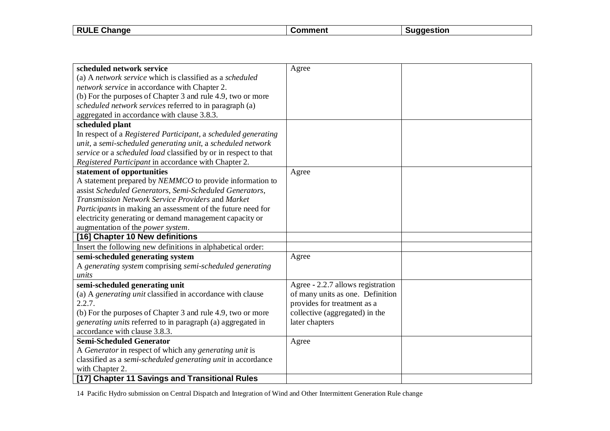| $ \sim$ $\sim$<br><b>RULE</b><br>iande<br>-112 | mm | stion |
|------------------------------------------------|----|-------|
|                                                |    |       |

| scheduled network service                                       | Agree                             |  |
|-----------------------------------------------------------------|-----------------------------------|--|
| (a) A network service which is classified as a scheduled        |                                   |  |
| network service in accordance with Chapter 2.                   |                                   |  |
| (b) For the purposes of Chapter 3 and rule 4.9, two or more     |                                   |  |
| scheduled network services referred to in paragraph (a)         |                                   |  |
| aggregated in accordance with clause 3.8.3.                     |                                   |  |
| scheduled plant                                                 |                                   |  |
| In respect of a Registered Participant, a scheduled generating  |                                   |  |
| unit, a semi-scheduled generating unit, a scheduled network     |                                   |  |
| service or a scheduled load classified by or in respect to that |                                   |  |
| Registered Participant in accordance with Chapter 2.            |                                   |  |
| statement of opportunities                                      | Agree                             |  |
| A statement prepared by NEMMCO to provide information to        |                                   |  |
| assist Scheduled Generators, Semi-Scheduled Generators,         |                                   |  |
| Transmission Network Service Providers and Market               |                                   |  |
| Participants in making an assessment of the future need for     |                                   |  |
| electricity generating or demand management capacity or         |                                   |  |
| augmentation of the power system.                               |                                   |  |
| [16] Chapter 10 New definitions                                 |                                   |  |
| Insert the following new definitions in alphabetical order:     |                                   |  |
| semi-scheduled generating system                                | Agree                             |  |
| A generating system comprising semi-scheduled generating        |                                   |  |
| units                                                           |                                   |  |
| semi-scheduled generating unit                                  | Agree - 2.2.7 allows registration |  |
| (a) A generating unit classified in accordance with clause      | of many units as one. Definition  |  |
| 2.2.7.                                                          | provides for treatment as a       |  |
| (b) For the purposes of Chapter 3 and rule 4.9, two or more     | collective (aggregated) in the    |  |
| generating units referred to in paragraph (a) aggregated in     | later chapters                    |  |
| accordance with clause 3.8.3.                                   |                                   |  |
| <b>Semi-Scheduled Generator</b>                                 | Agree                             |  |
| A Generator in respect of which any generating unit is          |                                   |  |
| classified as a semi-scheduled generating unit in accordance    |                                   |  |
| with Chapter 2.                                                 |                                   |  |
| [17] Chapter 11 Savings and Transitional Rules                  |                                   |  |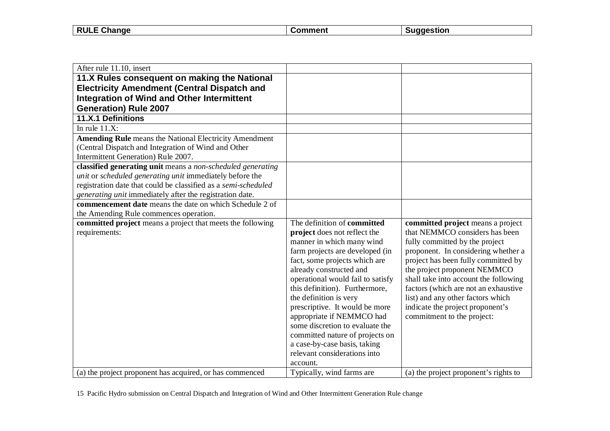| <b>RULE</b><br>ange<br>- 112 | . | . |
|------------------------------|---|---|
|                              |   |   |

| After rule 11.10, insert                                       |                                                              |                                                                       |
|----------------------------------------------------------------|--------------------------------------------------------------|-----------------------------------------------------------------------|
| 11.X Rules consequent on making the National                   |                                                              |                                                                       |
| <b>Electricity Amendment (Central Dispatch and</b>             |                                                              |                                                                       |
| <b>Integration of Wind and Other Intermittent</b>              |                                                              |                                                                       |
| <b>Generation) Rule 2007</b>                                   |                                                              |                                                                       |
| 11.X.1 Definitions                                             |                                                              |                                                                       |
| In rule $11.X$ :                                               |                                                              |                                                                       |
| <b>Amending Rule</b> means the National Electricity Amendment  |                                                              |                                                                       |
| (Central Dispatch and Integration of Wind and Other            |                                                              |                                                                       |
| Intermittent Generation) Rule 2007.                            |                                                              |                                                                       |
| classified generating unit means a non-scheduled generating    |                                                              |                                                                       |
| unit or scheduled generating unit immediately before the       |                                                              |                                                                       |
| registration date that could be classified as a semi-scheduled |                                                              |                                                                       |
| generating unit immediately after the registration date.       |                                                              |                                                                       |
| <b>commencement date</b> means the date on which Schedule 2 of |                                                              |                                                                       |
| the Amending Rule commences operation.                         |                                                              |                                                                       |
| committed project means a project that meets the following     | The definition of committed                                  | committed project means a project                                     |
| requirements:                                                  | project does not reflect the                                 | that NEMMCO considers has been                                        |
|                                                                | manner in which many wind                                    | fully committed by the project                                        |
|                                                                | farm projects are developed (in                              | proponent. In considering whether a                                   |
|                                                                | fact, some projects which are                                | project has been fully committed by                                   |
|                                                                | already constructed and<br>operational would fail to satisfy | the project proponent NEMMCO<br>shall take into account the following |
|                                                                | this definition). Furthermore,                               | factors (which are not an exhaustive                                  |
|                                                                | the definition is very                                       | list) and any other factors which                                     |
|                                                                | prescriptive. It would be more                               | indicate the project proponent's                                      |
|                                                                | appropriate if NEMMCO had                                    | commitment to the project:                                            |
|                                                                | some discretion to evaluate the                              |                                                                       |
|                                                                | committed nature of projects on                              |                                                                       |
|                                                                | a case-by-case basis, taking                                 |                                                                       |
|                                                                | relevant considerations into                                 |                                                                       |
|                                                                | account.                                                     |                                                                       |
| (a) the project proponent has acquired, or has commenced       | Typically, wind farms are                                    | (a) the project proponent's rights to                                 |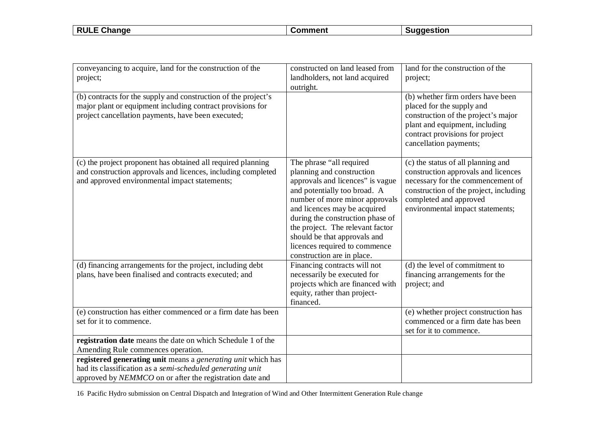| <b>RUL</b><br>ande<br>. . | $- - -$ | stion |
|---------------------------|---------|-------|
|                           |         |       |

| conveyancing to acquire, land for the construction of the<br>project;<br>(b) contracts for the supply and construction of the project's<br>major plant or equipment including contract provisions for | constructed on land leased from<br>landholders, not land acquired<br>outright.                                                                                                                                                                                                                                                                                     | land for the construction of the<br>project;<br>(b) whether firm orders have been<br>placed for the supply and                                                                                                         |
|-------------------------------------------------------------------------------------------------------------------------------------------------------------------------------------------------------|--------------------------------------------------------------------------------------------------------------------------------------------------------------------------------------------------------------------------------------------------------------------------------------------------------------------------------------------------------------------|------------------------------------------------------------------------------------------------------------------------------------------------------------------------------------------------------------------------|
| project cancellation payments, have been executed;                                                                                                                                                    |                                                                                                                                                                                                                                                                                                                                                                    | construction of the project's major<br>plant and equipment, including<br>contract provisions for project<br>cancellation payments;                                                                                     |
| (c) the project proponent has obtained all required planning<br>and construction approvals and licences, including completed<br>and approved environmental impact statements;                         | The phrase "all required<br>planning and construction<br>approvals and licences" is vague<br>and potentially too broad. A<br>number of more minor approvals<br>and licences may be acquired<br>during the construction phase of<br>the project. The relevant factor<br>should be that approvals and<br>licences required to commence<br>construction are in place. | (c) the status of all planning and<br>construction approvals and licences<br>necessary for the commencement of<br>construction of the project, including<br>completed and approved<br>environmental impact statements; |
| (d) financing arrangements for the project, including debt<br>plans, have been finalised and contracts executed; and                                                                                  | Financing contracts will not<br>necessarily be executed for<br>projects which are financed with<br>equity, rather than project-<br>financed.                                                                                                                                                                                                                       | (d) the level of commitment to<br>financing arrangements for the<br>project; and                                                                                                                                       |
| (e) construction has either commenced or a firm date has been<br>set for it to commence.                                                                                                              |                                                                                                                                                                                                                                                                                                                                                                    | (e) whether project construction has<br>commenced or a firm date has been<br>set for it to commence.                                                                                                                   |
| registration date means the date on which Schedule 1 of the<br>Amending Rule commences operation.                                                                                                     |                                                                                                                                                                                                                                                                                                                                                                    |                                                                                                                                                                                                                        |
| registered generating unit means a generating unit which has<br>had its classification as a semi-scheduled generating unit                                                                            |                                                                                                                                                                                                                                                                                                                                                                    |                                                                                                                                                                                                                        |
| approved by NEMMCO on or after the registration date and                                                                                                                                              |                                                                                                                                                                                                                                                                                                                                                                    |                                                                                                                                                                                                                        |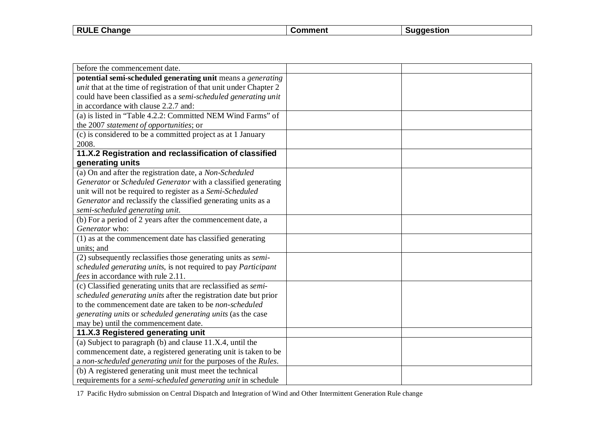| <b>RULE</b><br>ange<br>- 112 | . | . |
|------------------------------|---|---|
|                              |   |   |

| before the commencement date.                                             |  |
|---------------------------------------------------------------------------|--|
| potential semi-scheduled generating unit means a generating               |  |
| <i>unit</i> that at the time of registration of that unit under Chapter 2 |  |
| could have been classified as a semi-scheduled generating unit            |  |
| in accordance with clause 2.2.7 and:                                      |  |
| (a) is listed in "Table 4.2.2: Committed NEM Wind Farms" of               |  |
| the 2007 statement of opportunities; or                                   |  |
| (c) is considered to be a committed project as at 1 January               |  |
| 2008.                                                                     |  |
| 11.X.2 Registration and reclassification of classified                    |  |
| generating units                                                          |  |
| (a) On and after the registration date, a Non-Scheduled                   |  |
| Generator or Scheduled Generator with a classified generating             |  |
| unit will not be required to register as a Semi-Scheduled                 |  |
| Generator and reclassify the classified generating units as a             |  |
| semi-scheduled generating unit.                                           |  |
| (b) For a period of 2 years after the commencement date, a                |  |
| Generator who:                                                            |  |
| (1) as at the commencement date has classified generating                 |  |
| units; and                                                                |  |
| (2) subsequently reclassifies those generating units as <i>semi</i> -     |  |
| scheduled generating units, is not required to pay Participant            |  |
| fees in accordance with rule 2.11.                                        |  |
| (c) Classified generating units that are reclassified as semi-            |  |
| scheduled generating units after the registration date but prior          |  |
| to the commencement date are taken to be non-scheduled                    |  |
| generating units or scheduled generating units (as the case               |  |
| may be) until the commencement date.                                      |  |
| 11.X.3 Registered generating unit                                         |  |
| (a) Subject to paragraph (b) and clause $11.X.4$ , until the              |  |
| commencement date, a registered generating unit is taken to be            |  |
| a non-scheduled generating unit for the purposes of the Rules.            |  |
| (b) A registered generating unit must meet the technical                  |  |
| requirements for a semi-scheduled generating unit in schedule             |  |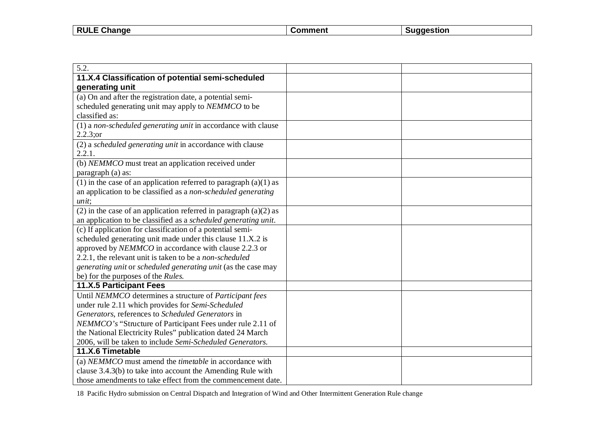| F Change<br><b>RULE</b> | `mment | aestion |
|-------------------------|--------|---------|
|                         |        |         |

| 5.2.                                                                |  |
|---------------------------------------------------------------------|--|
| 11.X.4 Classification of potential semi-scheduled                   |  |
| generating unit                                                     |  |
| (a) On and after the registration date, a potential semi-           |  |
| scheduled generating unit may apply to NEMMCO to be                 |  |
| classified as:                                                      |  |
| (1) a non-scheduled generating unit in accordance with clause       |  |
| 2.2.3; or                                                           |  |
| (2) a scheduled generating unit in accordance with clause           |  |
| 2.2.1.                                                              |  |
| (b) NEMMCO must treat an application received under                 |  |
| paragraph (a) as:                                                   |  |
| (1) in the case of an application referred to paragraph $(a)(1)$ as |  |
| an application to be classified as a non-scheduled generating       |  |
| unit;                                                               |  |
| (2) in the case of an application referred in paragraph $(a)(2)$ as |  |
| an application to be classified as a scheduled generating unit.     |  |
| (c) If application for classification of a potential semi-          |  |
| scheduled generating unit made under this clause 11.X.2 is          |  |
| approved by NEMMCO in accordance with clause 2.2.3 or               |  |
| 2.2.1, the relevant unit is taken to be a <i>non-scheduled</i>      |  |
| generating unit or scheduled generating unit (as the case may       |  |
| be) for the purposes of the Rules.                                  |  |
| 11.X.5 Participant Fees                                             |  |
| Until NEMMCO determines a structure of Participant fees             |  |
| under rule 2.11 which provides for Semi-Scheduled                   |  |
| Generators, references to Scheduled Generators in                   |  |
| NEMMCO's "Structure of Participant Fees under rule 2.11 of          |  |
| the National Electricity Rules" publication dated 24 March          |  |
| 2006, will be taken to include Semi-Scheduled Generators.           |  |
| 11.X.6 Timetable                                                    |  |
| (a) NEMMCO must amend the <i>timetable</i> in accordance with       |  |
| clause 3.4.3(b) to take into account the Amending Rule with         |  |
| those amendments to take effect from the commencement date.         |  |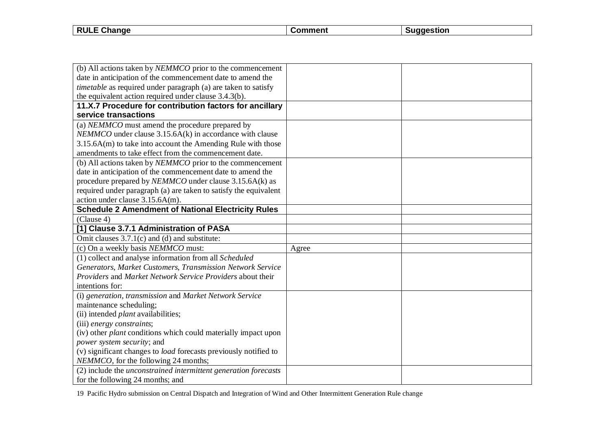**RULE Change Comment Suggestion** 

| (b) All actions taken by NEMMCO prior to the commencement               |       |  |
|-------------------------------------------------------------------------|-------|--|
| date in anticipation of the commencement date to amend the              |       |  |
| <i>timetable</i> as required under paragraph (a) are taken to satisfy   |       |  |
| the equivalent action required under clause 3.4.3(b).                   |       |  |
| 11.X.7 Procedure for contribution factors for ancillary                 |       |  |
| service transactions                                                    |       |  |
| (a) NEMMCO must amend the procedure prepared by                         |       |  |
| $NEMMCO$ under clause 3.15.6A(k) in accordance with clause              |       |  |
| $3.15.6A(m)$ to take into account the Amending Rule with those          |       |  |
| amendments to take effect from the commencement date.                   |       |  |
| (b) All actions taken by <i>NEMMCO</i> prior to the commencement        |       |  |
| date in anticipation of the commencement date to amend the              |       |  |
| procedure prepared by NEMMCO under clause 3.15.6A(k) as                 |       |  |
| required under paragraph (a) are taken to satisfy the equivalent        |       |  |
| action under clause 3.15.6A(m).                                         |       |  |
| <b>Schedule 2 Amendment of National Electricity Rules</b>               |       |  |
| (Clause 4)                                                              |       |  |
| [1] Clause 3.7.1 Administration of PASA                                 |       |  |
| Omit clauses $3.7.1(c)$ and (d) and substitute:                         |       |  |
| (c) On a weekly basis NEMMCO must:                                      | Agree |  |
| (1) collect and analyse information from all Scheduled                  |       |  |
| Generators, Market Customers, Transmission Network Service              |       |  |
| Providers and Market Network Service Providers about their              |       |  |
| intentions for:                                                         |       |  |
| (i) generation, transmission and Market Network Service                 |       |  |
| maintenance scheduling;                                                 |       |  |
| (ii) intended <i>plant</i> availabilities;                              |       |  |
| (iii) energy constraints;                                               |       |  |
| (iv) other <i>plant</i> conditions which could materially impact upon   |       |  |
| power system security; and                                              |       |  |
| (v) significant changes to <i>load</i> forecasts previously notified to |       |  |
| NEMMCO, for the following 24 months;                                    |       |  |
| (2) include the unconstrained intermittent generation forecasts         |       |  |
| for the following 24 months; and                                        |       |  |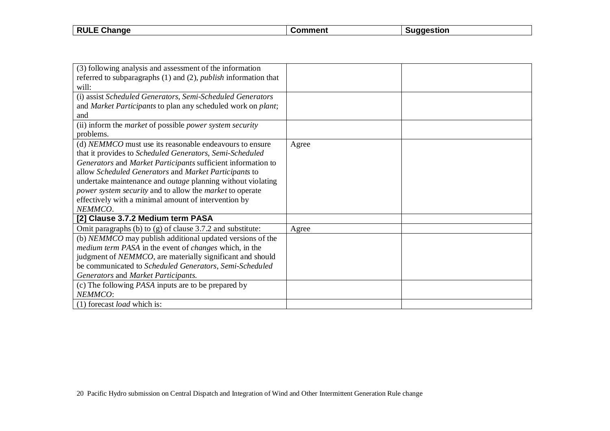| .<br>.<br>.<br>--<br>91 K<br>m |                        |  |  |
|--------------------------------|------------------------|--|--|
|                                | <b>RULE</b><br>Unange∪ |  |  |

| (3) following analysis and assessment of the information               |       |  |
|------------------------------------------------------------------------|-------|--|
| referred to subparagraphs (1) and (2), <i>publish</i> information that |       |  |
| will:                                                                  |       |  |
| (i) assist Scheduled Generators, Semi-Scheduled Generators             |       |  |
| and Market Participants to plan any scheduled work on plant;           |       |  |
| and                                                                    |       |  |
| (ii) inform the <i>market</i> of possible <i>power</i> system security |       |  |
| problems.                                                              |       |  |
| (d) NEMMCO must use its reasonable endeavours to ensure                | Agree |  |
| that it provides to Scheduled Generators, Semi-Scheduled               |       |  |
| Generators and Market Participants sufficient information to           |       |  |
| allow Scheduled Generators and Market Participants to                  |       |  |
| undertake maintenance and <i>outage</i> planning without violating     |       |  |
| power system security and to allow the market to operate               |       |  |
| effectively with a minimal amount of intervention by                   |       |  |
| NEMMCO.                                                                |       |  |
| [2] Clause 3.7.2 Medium term PASA                                      |       |  |
| Omit paragraphs (b) to $(g)$ of clause 3.7.2 and substitute:           | Agree |  |
| (b) NEMMCO may publish additional updated versions of the              |       |  |
| <i>medium term PASA</i> in the event of <i>changes</i> which, in the   |       |  |
| judgment of NEMMCO, are materially significant and should              |       |  |
| be communicated to Scheduled Generators, Semi-Scheduled                |       |  |
| Generators and Market Participants.                                    |       |  |
| (c) The following <i>PASA</i> inputs are to be prepared by             |       |  |
| NEMMCO:                                                                |       |  |
| (1) forecast <i>load</i> which is:                                     |       |  |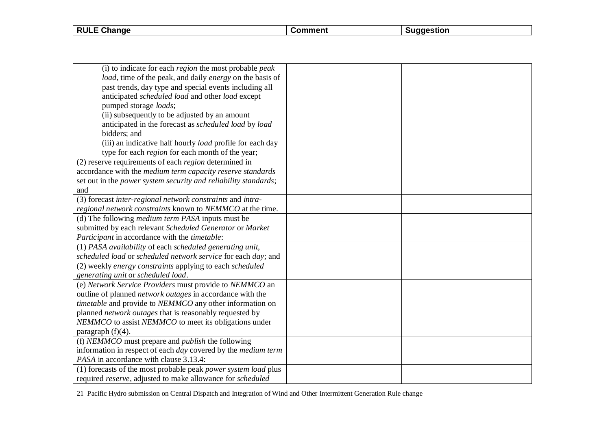| Change<br><b>RULL</b> | :omment | ⊰tıor<br>- 105 |
|-----------------------|---------|----------------|
|                       |         |                |

| (i) to indicate for each <i>region</i> the most probable <i>peak</i>   |  |
|------------------------------------------------------------------------|--|
| load, time of the peak, and daily energy on the basis of               |  |
| past trends, day type and special events including all                 |  |
| anticipated scheduled load and other load except                       |  |
| pumped storage loads;                                                  |  |
| (ii) subsequently to be adjusted by an amount                          |  |
| anticipated in the forecast as scheduled load by load                  |  |
| bidders; and                                                           |  |
| (iii) an indicative half hourly <i>load</i> profile for each day       |  |
| type for each region for each month of the year;                       |  |
| (2) reserve requirements of each <i>region</i> determined in           |  |
| accordance with the medium term capacity reserve standards             |  |
| set out in the power system security and reliability standards;        |  |
| and                                                                    |  |
| (3) forecast inter-regional network constraints and intra-             |  |
| regional network constraints known to NEMMCO at the time.              |  |
| (d) The following <i>medium term PASA</i> inputs must be               |  |
| submitted by each relevant Scheduled Generator or Market               |  |
| Participant in accordance with the timetable:                          |  |
| (1) PASA availability of each scheduled generating unit,               |  |
| scheduled load or scheduled network service for each day; and          |  |
| (2) weekly energy constraints applying to each scheduled               |  |
| generating unit or scheduled load.                                     |  |
| (e) Network Service Providers must provide to NEMMCO an                |  |
| outline of planned network outages in accordance with the              |  |
| <i>timetable</i> and provide to <i>NEMMCO</i> any other information on |  |
| planned <i>network outages</i> that is reasonably requested by         |  |
| NEMMCO to assist NEMMCO to meet its obligations under                  |  |
| paragraph $(f)(4)$ .                                                   |  |
| (f) NEMMCO must prepare and <i>publish</i> the following               |  |
| information in respect of each day covered by the medium term          |  |
| PASA in accordance with clause 3.13.4:                                 |  |
| (1) forecasts of the most probable peak power system load plus         |  |
| required reserve, adjusted to make allowance for scheduled             |  |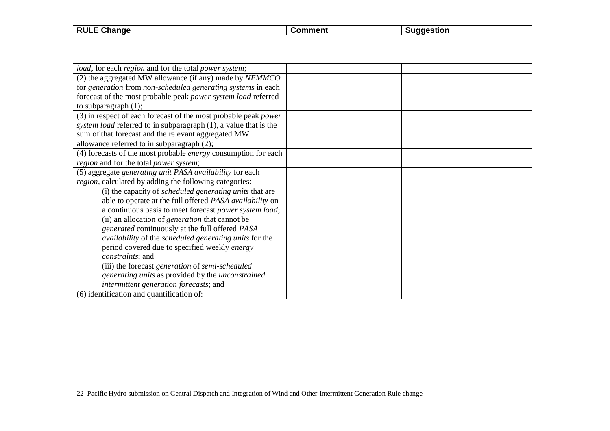| <b>RULE</b><br>ange<br>- 112 | . | . |
|------------------------------|---|---|
|                              |   |   |

| load, for each region and for the total power system;            |  |
|------------------------------------------------------------------|--|
| (2) the aggregated MW allowance (if any) made by NEMMCO          |  |
| for generation from non-scheduled generating systems in each     |  |
| forecast of the most probable peak power system load referred    |  |
| to subparagraph $(1)$ ;                                          |  |
| (3) in respect of each forecast of the most probable peak power  |  |
| system load referred to in subparagraph (1), a value that is the |  |
| sum of that forecast and the relevant aggregated MW              |  |
| allowance referred to in subparagraph (2);                       |  |
| (4) forecasts of the most probable energy consumption for each   |  |
| region and for the total power system;                           |  |
| (5) aggregate generating unit PASA availability for each         |  |
| <i>region</i> , calculated by adding the following categories:   |  |
| (i) the capacity of <i>scheduled generating units</i> that are   |  |
| able to operate at the full offered PASA availability on         |  |
| a continuous basis to meet forecast power system load;           |  |
| (ii) an allocation of <i>generation</i> that cannot be           |  |
| generated continuously at the full offered PASA                  |  |
| availability of the scheduled generating units for the           |  |
| period covered due to specified weekly energy                    |  |
| constraints; and                                                 |  |
| (iii) the forecast generation of semi-scheduled                  |  |
| generating units as provided by the unconstrained                |  |
| intermittent generation forecasts; and                           |  |
| (6) identification and quantification of:                        |  |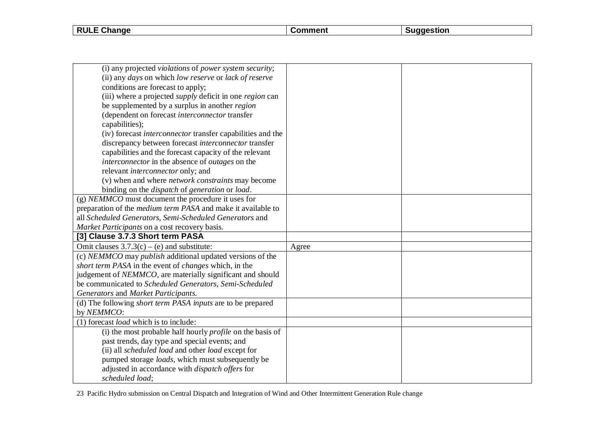**RULE Change Comment Comment Suggestion** 

| (i) any projected violations of power system security;                 |       |  |
|------------------------------------------------------------------------|-------|--|
| (ii) any days on which low reserve or lack of reserve                  |       |  |
| conditions are forecast to apply;                                      |       |  |
| (iii) where a projected <i>supply</i> deficit in one <i>region</i> can |       |  |
| be supplemented by a surplus in another region                         |       |  |
| (dependent on forecast interconnector transfer                         |       |  |
| capabilities);                                                         |       |  |
| (iv) forecast <i>interconnector</i> transfer capabilities and the      |       |  |
| discrepancy between forecast interconnector transfer                   |       |  |
| capabilities and the forecast capacity of the relevant                 |       |  |
| interconnector in the absence of outages on the                        |       |  |
| relevant <i>interconnector</i> only; and                               |       |  |
| (v) when and where <i>network constraints</i> may become               |       |  |
| binding on the <i>dispatch</i> of <i>generation</i> or <i>load</i> .   |       |  |
| $(g)$ NEMMCO must document the procedure it uses for                   |       |  |
| preparation of the <i>medium term PASA</i> and make it available to    |       |  |
| all Scheduled Generators, Semi-Scheduled Generators and                |       |  |
| Market Participants on a cost recovery basis.                          |       |  |
| [3] Clause 3.7.3 Short term PASA                                       |       |  |
| Omit clauses $3.7.3(c) - (e)$ and substitute:                          | Agree |  |
| (c) NEMMCO may publish additional updated versions of the              |       |  |
| short term PASA in the event of changes which, in the                  |       |  |
| judgement of NEMMCO, are materially significant and should             |       |  |
| be communicated to Scheduled Generators, Semi-Scheduled                |       |  |
| Generators and Market Participants.                                    |       |  |
| (d) The following short term PASA inputs are to be prepared            |       |  |
| by NEMMCO:                                                             |       |  |
| (1) forecast <i>load</i> which is to include:                          |       |  |
| (i) the most probable half hourly <i>profile</i> on the basis of       |       |  |
| past trends, day type and special events; and                          |       |  |
| (ii) all scheduled load and other load except for                      |       |  |
| pumped storage loads, which must subsequently be                       |       |  |
| adjusted in accordance with <i>dispatch offers</i> for                 |       |  |
| scheduled load;                                                        |       |  |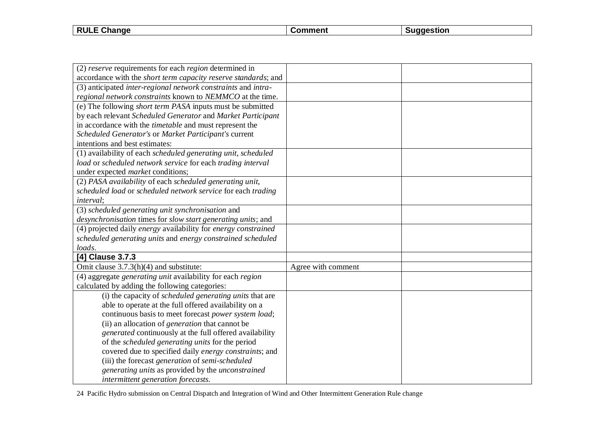| Change<br><b>RULE</b> | :omment | naestior |
|-----------------------|---------|----------|
|                       |         |          |

| (2) reserve requirements for each region determined in                   |                    |  |
|--------------------------------------------------------------------------|--------------------|--|
| accordance with the short term capacity reserve standards; and           |                    |  |
| (3) anticipated inter-regional network constraints and intra-            |                    |  |
| regional network constraints known to NEMMCO at the time.                |                    |  |
| (e) The following <i>short term PASA</i> inputs must be submitted        |                    |  |
| by each relevant Scheduled Generator and Market Participant              |                    |  |
| in accordance with the <i>timetable</i> and must represent the           |                    |  |
| Scheduled Generator's or Market Participant's current                    |                    |  |
| intentions and best estimates:                                           |                    |  |
| (1) availability of each scheduled generating unit, scheduled            |                    |  |
| load or scheduled network service for each trading interval              |                    |  |
| under expected <i>market</i> conditions;                                 |                    |  |
| (2) PASA availability of each scheduled generating unit,                 |                    |  |
| scheduled load or scheduled network service for each trading             |                    |  |
| <i>interval</i> :                                                        |                    |  |
| (3) scheduled generating unit synchronisation and                        |                    |  |
| desynchronisation times for slow start generating units; and             |                    |  |
| (4) projected daily energy availability for energy constrained           |                    |  |
| scheduled generating units and energy constrained scheduled              |                    |  |
| loads.                                                                   |                    |  |
| [4] Clause 3.7.3                                                         |                    |  |
| Omit clause $3.7.3(h)(4)$ and substitute:                                | Agree with comment |  |
| (4) aggregate <i>generating unit</i> availability for each <i>region</i> |                    |  |
| calculated by adding the following categories:                           |                    |  |
| (i) the capacity of <i>scheduled generating units</i> that are           |                    |  |
| able to operate at the full offered availability on a                    |                    |  |
| continuous basis to meet forecast power system load;                     |                    |  |
| (ii) an allocation of <i>generation</i> that cannot be                   |                    |  |
| generated continuously at the full offered availability                  |                    |  |
| of the scheduled generating units for the period                         |                    |  |
| covered due to specified daily energy constraints; and                   |                    |  |
| (iii) the forecast generation of semi-scheduled                          |                    |  |
| generating units as provided by the unconstrained                        |                    |  |
| intermittent generation forecasts.                                       |                    |  |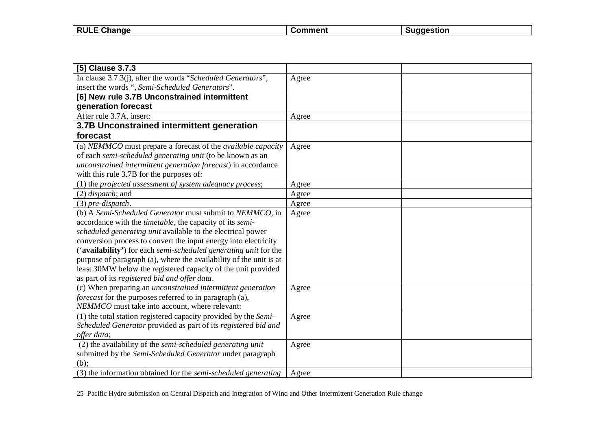| <b>RULE</b><br><b>- ^'</b><br>. Change | ∴ommenf | uaaestion |
|----------------------------------------|---------|-----------|
|                                        |         |           |

| [5] Clause 3.7.3                                                         |       |  |
|--------------------------------------------------------------------------|-------|--|
| In clause 3.7.3(j), after the words "Scheduled Generators",              | Agree |  |
| insert the words ", Semi-Scheduled Generators".                          |       |  |
| [6] New rule 3.7B Unconstrained intermittent                             |       |  |
| generation forecast                                                      |       |  |
| After rule 3.7A, insert:                                                 | Agree |  |
| 3.7B Unconstrained intermittent generation                               |       |  |
| forecast                                                                 |       |  |
| (a) NEMMCO must prepare a forecast of the <i>available capacity</i>      | Agree |  |
| of each semi-scheduled generating unit (to be known as an                |       |  |
| unconstrained intermittent generation forecast) in accordance            |       |  |
| with this rule 3.7B for the purposes of:                                 |       |  |
| (1) the projected assessment of system adequacy process;                 | Agree |  |
| $(2)$ <i>dispatch</i> ; and                                              | Agree |  |
| $(3)$ pre-dispatch.                                                      | Agree |  |
| (b) A Semi-Scheduled Generator must submit to NEMMCO, in                 | Agree |  |
| accordance with the <i>timetable</i> , the capacity of its <i>semi</i> - |       |  |
| scheduled generating unit available to the electrical power              |       |  |
| conversion process to convert the input energy into electricity          |       |  |
| ('availability') for each semi-scheduled generating unit for the         |       |  |
| purpose of paragraph (a), where the availability of the unit is at       |       |  |
| least 30MW below the registered capacity of the unit provided            |       |  |
| as part of its registered bid and offer data.                            |       |  |
| (c) When preparing an <i>unconstrained intermittent generation</i>       | Agree |  |
| forecast for the purposes referred to in paragraph (a),                  |       |  |
| NEMMCO must take into account, where relevant:                           |       |  |
| (1) the total station registered capacity provided by the Semi-          | Agree |  |
| Scheduled Generator provided as part of its registered bid and           |       |  |
| offer data;                                                              |       |  |
| $\overline{(2)}$ the availability of the semi-scheduled generating unit  | Agree |  |
| submitted by the Semi-Scheduled Generator under paragraph                |       |  |
| $(b)$ :                                                                  |       |  |
| (3) the information obtained for the semi-scheduled generating           | Agree |  |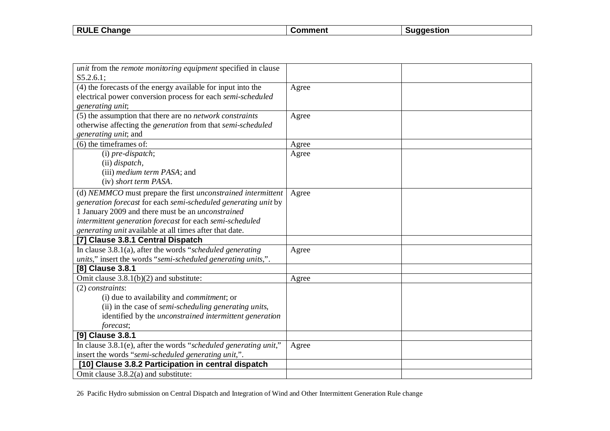| <b>RULE</b><br><b>- ^'</b><br>. Change | ∴ommenf | uaaestion |
|----------------------------------------|---------|-----------|
|                                        |         |           |

| unit from the remote monitoring equipment specified in clause             |       |  |
|---------------------------------------------------------------------------|-------|--|
| S5.2.6.1;                                                                 |       |  |
| (4) the forecasts of the energy available for input into the              | Agree |  |
| electrical power conversion process for each semi-scheduled               |       |  |
| generating unit;                                                          |       |  |
| (5) the assumption that there are no <i>network constraints</i>           | Agree |  |
| otherwise affecting the <i>generation</i> from that <i>semi-scheduled</i> |       |  |
| generating unit; and                                                      |       |  |
| $(6)$ the time frames of:                                                 | Agree |  |
| (i) pre-dispatch;                                                         | Agree |  |
| (ii) <i>dispatch</i> ,                                                    |       |  |
| (iii) <i>medium term PASA</i> ; and                                       |       |  |
| (iv) short term PASA.                                                     |       |  |
| (d) NEMMCO must prepare the first unconstrained intermittent              | Agree |  |
| generation forecast for each semi-scheduled generating unit by            |       |  |
| 1 January 2009 and there must be an <i>unconstrained</i>                  |       |  |
| intermittent generation forecast for each semi-scheduled                  |       |  |
| generating unit available at all times after that date.                   |       |  |
| [7] Clause 3.8.1 Central Dispatch                                         |       |  |
| In clause $3.8.1(a)$ , after the words "scheduled generating"             | Agree |  |
| units," insert the words "semi-scheduled generating units,".              |       |  |
| [8] Clause 3.8.1                                                          |       |  |
| Omit clause $3.8.1(b)(2)$ and substitute:                                 | Agree |  |
| $(2)$ constraints:                                                        |       |  |
| (i) due to availability and <i>commitment</i> ; or                        |       |  |
| (ii) in the case of <i>semi-scheduling generating units</i> ,             |       |  |
| identified by the <i>unconstrained</i> intermittent generation            |       |  |
| forecast;                                                                 |       |  |
| [9] Clause 3.8.1                                                          |       |  |
| In clause 3.8.1(e), after the words "scheduled generating unit,"          | Agree |  |
| insert the words "semi-scheduled generating unit,".                       |       |  |
| [10] Clause 3.8.2 Participation in central dispatch                       |       |  |
| Omit clause 3.8.2(a) and substitute:                                      |       |  |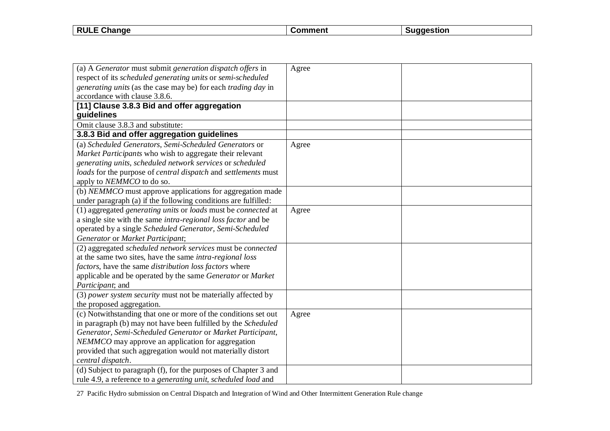| F Change<br><b>RULE</b> | `mment | aestion |
|-------------------------|--------|---------|
|                         |        |         |

| (a) A Generator must submit generation dispatch offers in            | Agree |  |
|----------------------------------------------------------------------|-------|--|
| respect of its scheduled generating units or semi-scheduled          |       |  |
| generating units (as the case may be) for each trading day in        |       |  |
| accordance with clause 3.8.6.                                        |       |  |
| [11] Clause 3.8.3 Bid and offer aggregation                          |       |  |
| guidelines                                                           |       |  |
| Omit clause 3.8.3 and substitute:                                    |       |  |
| 3.8.3 Bid and offer aggregation guidelines                           |       |  |
| (a) Scheduled Generators, Semi-Scheduled Generators or               | Agree |  |
| Market Participants who wish to aggregate their relevant             |       |  |
| generating units, scheduled network services or scheduled            |       |  |
| loads for the purpose of central dispatch and settlements must       |       |  |
| apply to <i>NEMMCO</i> to do so.                                     |       |  |
| (b) NEMMCO must approve applications for aggregation made            |       |  |
| under paragraph (a) if the following conditions are fulfilled:       |       |  |
| (1) aggregated generating units or loads must be connected at        | Agree |  |
| a single site with the same <i>intra-regional loss factor</i> and be |       |  |
| operated by a single Scheduled Generator, Semi-Scheduled             |       |  |
| Generator or Market Participant;                                     |       |  |
| (2) aggregated scheduled network services must be connected          |       |  |
| at the same two sites, have the same intra-regional loss             |       |  |
| factors, have the same distribution loss factors where               |       |  |
| applicable and be operated by the same Generator or Market           |       |  |
| Participant; and                                                     |       |  |
| (3) power system security must not be materially affected by         |       |  |
| the proposed aggregation.                                            |       |  |
| (c) Notwithstanding that one or more of the conditions set out       | Agree |  |
| in paragraph (b) may not have been fulfilled by the Scheduled        |       |  |
| Generator, Semi-Scheduled Generator or Market Participant,           |       |  |
| NEMMCO may approve an application for aggregation                    |       |  |
| provided that such aggregation would not materially distort          |       |  |
| central dispatch.                                                    |       |  |
| (d) Subject to paragraph (f), for the purposes of Chapter 3 and      |       |  |
| rule 4.9, a reference to a generating unit, scheduled load and       |       |  |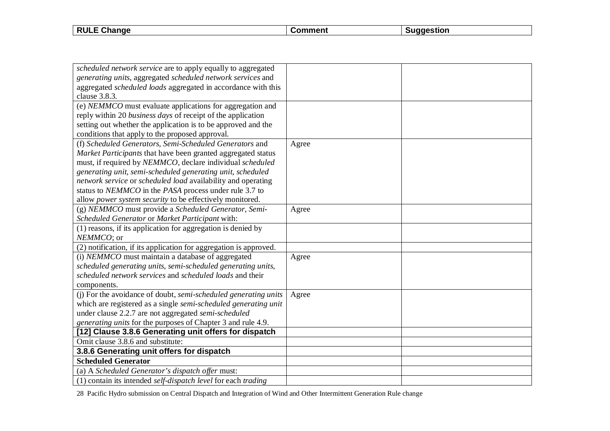| Change<br><b>RULE</b> | .nn | :stior |
|-----------------------|-----|--------|
|                       |     |        |

| scheduled network service are to apply equally to aggregated                |       |  |
|-----------------------------------------------------------------------------|-------|--|
| generating units, aggregated scheduled network services and                 |       |  |
| aggregated scheduled loads aggregated in accordance with this               |       |  |
| clause 3.8.3.                                                               |       |  |
| (e) NEMMCO must evaluate applications for aggregation and                   |       |  |
| reply within 20 business days of receipt of the application                 |       |  |
| setting out whether the application is to be approved and the               |       |  |
| conditions that apply to the proposed approval.                             |       |  |
| (f) Scheduled Generators, Semi-Scheduled Generators and                     | Agree |  |
| Market Participants that have been granted aggregated status                |       |  |
| must, if required by NEMMCO, declare individual scheduled                   |       |  |
| generating unit, semi-scheduled generating unit, scheduled                  |       |  |
| network service or scheduled load availability and operating                |       |  |
| status to NEMMCO in the PASA process under rule 3.7 to                      |       |  |
| allow power system security to be effectively monitored.                    |       |  |
| (g) NEMMCO must provide a Scheduled Generator, Semi-                        | Agree |  |
| Scheduled Generator or Market Participant with:                             |       |  |
| (1) reasons, if its application for aggregation is denied by                |       |  |
| NEMMCO; or                                                                  |       |  |
| (2) notification, if its application for aggregation is approved.           |       |  |
| (i) NEMMCO must maintain a database of aggregated                           | Agree |  |
| scheduled generating units, semi-scheduled generating units,                |       |  |
| scheduled network services and scheduled loads and their                    |       |  |
| components.                                                                 |       |  |
| (i) For the avoidance of doubt, semi-scheduled generating units             | Agree |  |
| which are registered as a single semi-scheduled generating unit             |       |  |
| under clause 2.2.7 are not aggregated semi-scheduled                        |       |  |
| generating units for the purposes of Chapter 3 and rule 4.9.                |       |  |
| [12] Clause 3.8.6 Generating unit offers for dispatch                       |       |  |
| Omit clause 3.8.6 and substitute:                                           |       |  |
| 3.8.6 Generating unit offers for dispatch                                   |       |  |
| <b>Scheduled Generator</b>                                                  |       |  |
| (a) A Scheduled Generator's dispatch offer must:                            |       |  |
| (1) contain its intended <i>self-dispatch level</i> for each <i>trading</i> |       |  |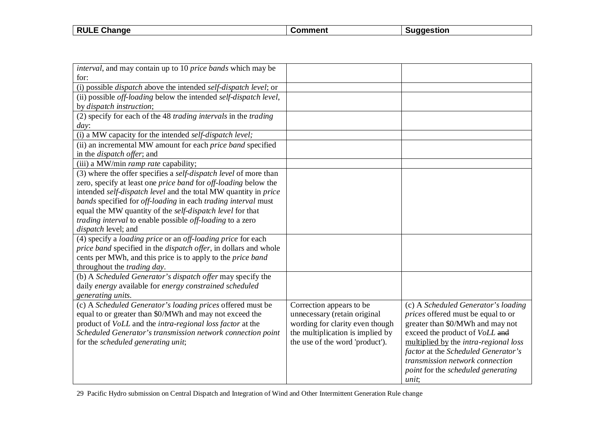| <b>RULE</b><br>$\sim$<br><b>Change</b> | $\sim$ $\sim$ $\sim$ $\sim$ | laestion |
|----------------------------------------|-----------------------------|----------|
|                                        |                             |          |

| <i>interval</i> , and may contain up to 10 <i>price bands</i> which may be      |                                  |                                              |
|---------------------------------------------------------------------------------|----------------------------------|----------------------------------------------|
| for:                                                                            |                                  |                                              |
|                                                                                 |                                  |                                              |
| (i) possible <i>dispatch</i> above the intended <i>self-dispatch level</i> ; or |                                  |                                              |
| (ii) possible off-loading below the intended self-dispatch level,               |                                  |                                              |
| by dispatch instruction;                                                        |                                  |                                              |
| (2) specify for each of the 48 trading intervals in the trading                 |                                  |                                              |
| day:                                                                            |                                  |                                              |
| (i) a MW capacity for the intended self-dispatch level;                         |                                  |                                              |
| (ii) an incremental MW amount for each price band specified                     |                                  |                                              |
| in the <i>dispatch offer</i> ; and                                              |                                  |                                              |
| (iii) a MW/min ramp rate capability;                                            |                                  |                                              |
| (3) where the offer specifies a self-dispatch level of more than                |                                  |                                              |
| zero, specify at least one price band for off-loading below the                 |                                  |                                              |
| intended self-dispatch level and the total MW quantity in price                 |                                  |                                              |
| bands specified for off-loading in each trading interval must                   |                                  |                                              |
| equal the MW quantity of the self-dispatch level for that                       |                                  |                                              |
| trading interval to enable possible off-loading to a zero                       |                                  |                                              |
| dispatch level; and                                                             |                                  |                                              |
| (4) specify a <i>loading price</i> or an <i>off-loading price</i> for each      |                                  |                                              |
| price band specified in the dispatch offer, in dollars and whole                |                                  |                                              |
| cents per MWh, and this price is to apply to the <i>price band</i>              |                                  |                                              |
| throughout the <i>trading day</i> .                                             |                                  |                                              |
| (b) A Scheduled Generator's dispatch offer may specify the                      |                                  |                                              |
| daily energy available for energy constrained scheduled                         |                                  |                                              |
| generating units.                                                               |                                  |                                              |
| (c) A Scheduled Generator's loading prices offered must be                      | Correction appears to be         | (c) A Scheduled Generator's loading          |
| equal to or greater than \$0/MWh and may not exceed the                         | unnecessary (retain original     | prices offered must be equal to or           |
| product of VoLL and the intra-regional loss factor at the                       | wording for clarity even though  | greater than \$0/MWh and may not             |
| Scheduled Generator's transmission network connection point                     | the multiplication is implied by | exceed the product of VoLL and               |
| for the scheduled generating unit;                                              | the use of the word 'product').  | multiplied by the <i>intra-regional loss</i> |
|                                                                                 |                                  | factor at the Scheduled Generator's          |
|                                                                                 |                                  |                                              |
|                                                                                 |                                  | transmission network connection              |
|                                                                                 |                                  | point for the scheduled generating           |
|                                                                                 |                                  | unit;                                        |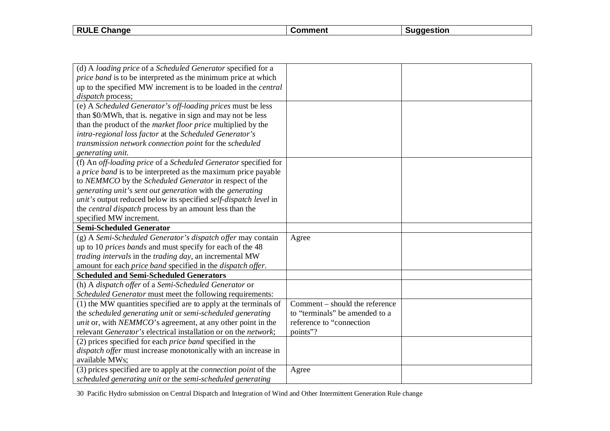| <b>RULL</b><br>$\sim$<br>hange | nmment | laestion |
|--------------------------------|--------|----------|
|                                |        |          |

| (d) A loading price of a Scheduled Generator specified for a                                                                          |                                |  |
|---------------------------------------------------------------------------------------------------------------------------------------|--------------------------------|--|
| price band is to be interpreted as the minimum price at which                                                                         |                                |  |
| up to the specified MW increment is to be loaded in the <i>central</i>                                                                |                                |  |
| dispatch process;                                                                                                                     |                                |  |
| (e) A Scheduled Generator's off-loading prices must be less                                                                           |                                |  |
| than \$0/MWh, that is, negative in sign and may not be less                                                                           |                                |  |
| than the product of the <i>market floor price</i> multiplied by the                                                                   |                                |  |
| intra-regional loss factor at the Scheduled Generator's                                                                               |                                |  |
| transmission network connection point for the scheduled                                                                               |                                |  |
| generating unit.                                                                                                                      |                                |  |
| (f) An off-loading price of a Scheduled Generator specified for                                                                       |                                |  |
| a <i>price band</i> is to be interpreted as the maximum price payable                                                                 |                                |  |
| to NEMMCO by the Scheduled Generator in respect of the                                                                                |                                |  |
| generating unit's sent out generation with the generating                                                                             |                                |  |
| unit's output reduced below its specified self-dispatch level in                                                                      |                                |  |
| the <i>central dispatch</i> process by an amount less than the                                                                        |                                |  |
| specified MW increment.                                                                                                               |                                |  |
|                                                                                                                                       |                                |  |
| <b>Semi-Scheduled Generator</b>                                                                                                       |                                |  |
| (g) A Semi-Scheduled Generator's dispatch offer may contain                                                                           | Agree                          |  |
| up to 10 prices bands and must specify for each of the 48                                                                             |                                |  |
| trading intervals in the trading day, an incremental MW                                                                               |                                |  |
| amount for each price band specified in the dispatch offer.                                                                           |                                |  |
| <b>Scheduled and Semi-Scheduled Generators</b>                                                                                        |                                |  |
| (h) A dispatch offer of a Semi-Scheduled Generator or                                                                                 |                                |  |
| Scheduled Generator must meet the following requirements:                                                                             |                                |  |
| (1) the MW quantities specified are to apply at the terminals of                                                                      | Comment – should the reference |  |
| the scheduled generating unit or semi-scheduled generating                                                                            | to "terminals" be amended to a |  |
| <i>unit</i> or, with <i>NEMMCO</i> 's agreement, at any other point in the                                                            | reference to "connection       |  |
| relevant Generator's electrical installation or on the network;                                                                       | points"?                       |  |
| (2) prices specified for each <i>price band</i> specified in the                                                                      |                                |  |
| dispatch offer must increase monotonically with an increase in                                                                        |                                |  |
| available MWs;                                                                                                                        |                                |  |
| (3) prices specified are to apply at the <i>connection point</i> of the<br>scheduled generating unit or the semi-scheduled generating | Agree                          |  |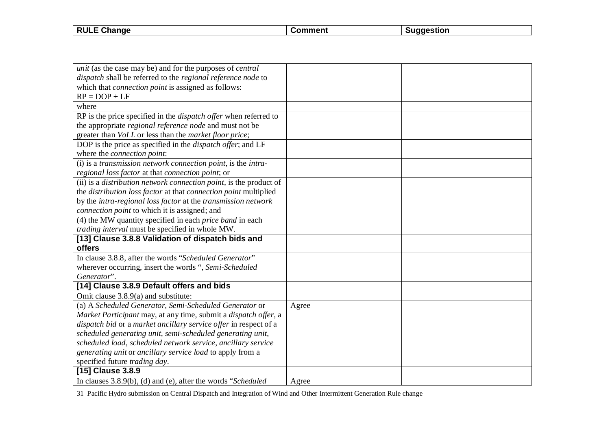| <b>RULE</b><br>Change | $\sim$ mment $\sim$<br>omn | laestion |
|-----------------------|----------------------------|----------|
|                       |                            |          |

| <i>unit</i> (as the case may be) and for the purposes of <i>central</i>    |       |  |
|----------------------------------------------------------------------------|-------|--|
| dispatch shall be referred to the regional reference node to               |       |  |
| which that <i>connection point</i> is assigned as follows:                 |       |  |
| $RP = DOP \div \overline{LF}$                                              |       |  |
| where                                                                      |       |  |
| RP is the price specified in the <i>dispatch offer</i> when referred to    |       |  |
| the appropriate <i>regional reference node</i> and must not be             |       |  |
| greater than VoLL or less than the market floor price;                     |       |  |
| DOP is the price as specified in the <i>dispatch offer</i> ; and LF        |       |  |
| where the connection point:                                                |       |  |
| (i) is a transmission network connection point, is the intra-              |       |  |
| regional loss factor at that connection point; or                          |       |  |
| (ii) is a <i>distribution network connection point</i> , is the product of |       |  |
| the distribution loss factor at that connection point multiplied           |       |  |
| by the intra-regional loss factor at the transmission network              |       |  |
| connection point to which it is assigned; and                              |       |  |
| (4) the MW quantity specified in each <i>price band</i> in each            |       |  |
| trading interval must be specified in whole MW.                            |       |  |
| [13] Clause 3.8.8 Validation of dispatch bids and                          |       |  |
| offers                                                                     |       |  |
| In clause 3.8.8, after the words "Scheduled Generator"                     |       |  |
| wherever occurring, insert the words ", Semi-Scheduled                     |       |  |
| Generator".                                                                |       |  |
| [14] Clause 3.8.9 Default offers and bids                                  |       |  |
| Omit clause 3.8.9(a) and substitute:                                       |       |  |
| (a) A Scheduled Generator, Semi-Scheduled Generator or                     | Agree |  |
| Market Participant may, at any time, submit a dispatch offer, a            |       |  |
| dispatch bid or a market ancillary service offer in respect of a           |       |  |
| scheduled generating unit, semi-scheduled generating unit,                 |       |  |
| scheduled load, scheduled network service, ancillary service               |       |  |
| generating unit or ancillary service load to apply from a                  |       |  |
| specified future trading day.                                              |       |  |
| [15] Clause 3.8.9                                                          |       |  |
| In clauses $3.8.9(b)$ , (d) and (e), after the words "Scheduled            | Agree |  |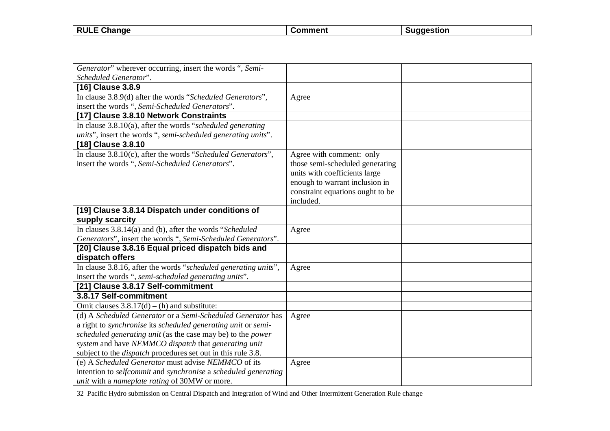| <b>RULE</b><br>$\sim$<br><b>Change</b> | $\sim$ $\sim$ $\sim$ $\sim$ | laestion |
|----------------------------------------|-----------------------------|----------|
|                                        |                             |          |

| Generator" wherever occurring, insert the words ", Semi-            |                                  |  |
|---------------------------------------------------------------------|----------------------------------|--|
| Scheduled Generator".                                               |                                  |  |
| [16] Clause 3.8.9                                                   |                                  |  |
| In clause 3.8.9(d) after the words "Scheduled Generators",          | Agree                            |  |
| insert the words ", Semi-Scheduled Generators".                     |                                  |  |
| [17] Clause 3.8.10 Network Constraints                              |                                  |  |
| In clause $3.8.10(a)$ , after the words "scheduled generating"      |                                  |  |
| units", insert the words ", semi-scheduled generating units".       |                                  |  |
| [18] Clause 3.8.10                                                  |                                  |  |
| In clause 3.8.10(c), after the words "Scheduled Generators",        | Agree with comment: only         |  |
| insert the words ", Semi-Scheduled Generators".                     | those semi-scheduled generating  |  |
|                                                                     | units with coefficients large    |  |
|                                                                     | enough to warrant inclusion in   |  |
|                                                                     | constraint equations ought to be |  |
|                                                                     | included.                        |  |
| [19] Clause 3.8.14 Dispatch under conditions of                     |                                  |  |
| supply scarcity                                                     |                                  |  |
| In clauses $3.8.14(a)$ and (b), after the words "Scheduled          | Agree                            |  |
| Generators", insert the words ", Semi-Scheduled Generators".        |                                  |  |
| [20] Clause 3.8.16 Equal priced dispatch bids and                   |                                  |  |
| dispatch offers                                                     |                                  |  |
| In clause 3.8.16, after the words "scheduled generating units",     | Agree                            |  |
| insert the words ", semi-scheduled generating units".               |                                  |  |
| [21] Clause 3.8.17 Self-commitment                                  |                                  |  |
| 3.8.17 Self-commitment                                              |                                  |  |
| Omit clauses $3.8.17(d) - (h)$ and substitute:                      |                                  |  |
| (d) A Scheduled Generator or a Semi-Scheduled Generator has         | Agree                            |  |
| a right to synchronise its scheduled generating unit or semi-       |                                  |  |
| scheduled generating unit (as the case may be) to the power         |                                  |  |
| system and have NEMMCO dispatch that generating unit                |                                  |  |
| subject to the <i>dispatch</i> procedures set out in this rule 3.8. |                                  |  |
| (e) A Scheduled Generator must advise NEMMCO of its                 | Agree                            |  |
| intention to selfcommit and synchronise a scheduled generating      |                                  |  |
| <i>unit</i> with a <i>nameplate rating</i> of 30MW or more.         |                                  |  |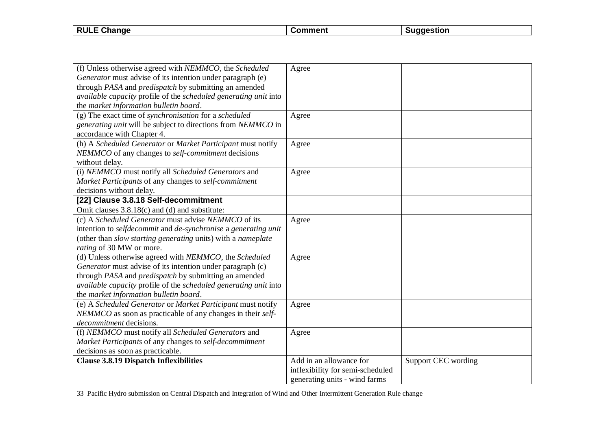| <b>RULE</b><br>.<br>Change | าmment<br>∴∩r | aestion |
|----------------------------|---------------|---------|
|                            |               |         |

| (f) Unless otherwise agreed with NEMMCO, the Scheduled<br>Generator must advise of its intention under paragraph (e)<br>through PASA and predispatch by submitting an amended<br>available capacity profile of the scheduled generating unit into<br>the market information bulletin board. | Agree                                                                                        |                            |
|---------------------------------------------------------------------------------------------------------------------------------------------------------------------------------------------------------------------------------------------------------------------------------------------|----------------------------------------------------------------------------------------------|----------------------------|
| $(g)$ The exact time of synchronisation for a scheduled<br>generating unit will be subject to directions from NEMMCO in<br>accordance with Chapter 4.                                                                                                                                       | Agree                                                                                        |                            |
| (h) A Scheduled Generator or Market Participant must notify<br>NEMMCO of any changes to self-commitment decisions<br>without delay.                                                                                                                                                         | Agree                                                                                        |                            |
| (i) NEMMCO must notify all Scheduled Generators and<br>Market Participants of any changes to self-commitment<br>decisions without delay.                                                                                                                                                    | Agree                                                                                        |                            |
| [22] Clause 3.8.18 Self-decommitment                                                                                                                                                                                                                                                        |                                                                                              |                            |
| Omit clauses 3.8.18(c) and (d) and substitute:                                                                                                                                                                                                                                              |                                                                                              |                            |
| (c) A Scheduled Generator must advise NEMMCO of its<br>intention to selfdecommit and de-synchronise a generating unit<br>(other than slow starting generating units) with a nameplate<br>rating of 30 MW or more.                                                                           | Agree                                                                                        |                            |
| (d) Unless otherwise agreed with NEMMCO, the Scheduled<br>Generator must advise of its intention under paragraph (c)<br>through PASA and predispatch by submitting an amended<br>available capacity profile of the scheduled generating unit into<br>the market information bulletin board. | Agree                                                                                        |                            |
| (e) A Scheduled Generator or Market Participant must notify<br>NEMMCO as soon as practicable of any changes in their self-<br>decommitment decisions.                                                                                                                                       | Agree                                                                                        |                            |
| (f) NEMMCO must notify all Scheduled Generators and<br>Market Participants of any changes to self-decommitment<br>decisions as soon as practicable.                                                                                                                                         | Agree                                                                                        |                            |
| <b>Clause 3.8.19 Dispatch Inflexibilities</b>                                                                                                                                                                                                                                               | Add in an allowance for<br>inflexibility for semi-scheduled<br>generating units - wind farms | <b>Support CEC</b> wording |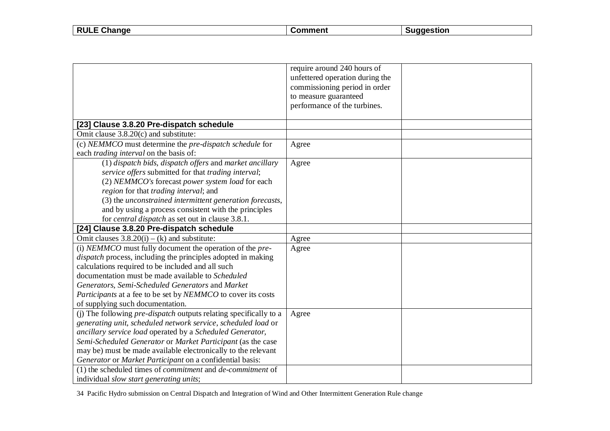| <b>RULE</b><br>∶Chanɑe<br>- - | .omment | <b>cestion</b> |
|-------------------------------|---------|----------------|
|                               |         |                |

 $\overline{\phantom{a}}$ 

|                                                                          | require around 240 hours of     |
|--------------------------------------------------------------------------|---------------------------------|
|                                                                          | unfettered operation during the |
|                                                                          | commissioning period in order   |
|                                                                          | to measure guaranteed           |
|                                                                          | performance of the turbines.    |
|                                                                          |                                 |
| [23] Clause 3.8.20 Pre-dispatch schedule                                 |                                 |
| Omit clause 3.8.20(c) and substitute:                                    |                                 |
| (c) NEMMCO must determine the pre-dispatch schedule for                  | Agree                           |
| each trading interval on the basis of:                                   |                                 |
| (1) dispatch bids, dispatch offers and market ancillary                  | Agree                           |
| service offers submitted for that trading interval;                      |                                 |
| (2) NEMMCO's forecast power system load for each                         |                                 |
| region for that trading interval; and                                    |                                 |
| (3) the unconstrained intermittent generation forecasts,                 |                                 |
| and by using a process consistent with the principles                    |                                 |
| for <i>central dispatch</i> as set out in clause 3.8.1.                  |                                 |
| [24] Clause 3.8.20 Pre-dispatch schedule                                 |                                 |
| Omit clauses $3.8.20(i) - (k)$ and substitute:                           | Agree                           |
| (i) NEMMCO must fully document the operation of the pre-                 | Agree                           |
| dispatch process, including the principles adopted in making             |                                 |
| calculations required to be included and all such                        |                                 |
| documentation must be made available to Scheduled                        |                                 |
| Generators, Semi-Scheduled Generators and Market                         |                                 |
| Participants at a fee to be set by NEMMCO to cover its costs             |                                 |
| of supplying such documentation.                                         |                                 |
| (j) The following <i>pre-dispatch</i> outputs relating specifically to a | Agree                           |
| generating unit, scheduled network service, scheduled load or            |                                 |
| ancillary service load operated by a Scheduled Generator,                |                                 |
| Semi-Scheduled Generator or Market Participant (as the case              |                                 |
| may be) must be made available electronically to the relevant            |                                 |
| Generator or Market Participant on a confidential basis:                 |                                 |
| (1) the scheduled times of <i>commitment</i> and <i>de-commitment</i> of |                                 |
| individual slow start generating units;                                  |                                 |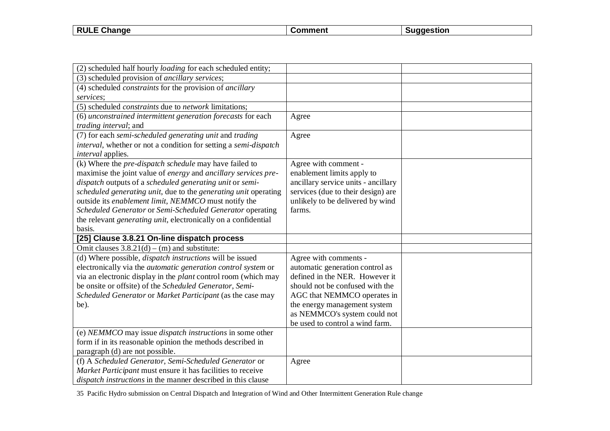| <b>RULE</b><br>ange<br>- 112 | . | . |
|------------------------------|---|---|
|                              |   |   |

| (2) scheduled half hourly <i>loading</i> for each scheduled entity;                                                   |                                     |  |
|-----------------------------------------------------------------------------------------------------------------------|-------------------------------------|--|
| (3) scheduled provision of ancillary services;                                                                        |                                     |  |
| (4) scheduled <i>constraints</i> for the provision of <i>ancillary</i>                                                |                                     |  |
| services;                                                                                                             |                                     |  |
| (5) scheduled <i>constraints</i> due to <i>network</i> limitations;                                                   |                                     |  |
| (6) unconstrained intermittent generation forecasts for each                                                          | Agree                               |  |
| <i>trading interval</i> ; and                                                                                         |                                     |  |
| (7) for each semi-scheduled generating unit and trading                                                               | Agree                               |  |
| interval, whether or not a condition for setting a semi-dispatch                                                      |                                     |  |
| <i>interval</i> applies.                                                                                              |                                     |  |
| (k) Where the <i>pre-dispatch schedule</i> may have failed to                                                         | Agree with comment -                |  |
| maximise the joint value of energy and ancillary services pre-                                                        | enablement limits apply to          |  |
| dispatch outputs of a scheduled generating unit or semi-                                                              | ancillary service units - ancillary |  |
| scheduled generating unit, due to the generating unit operating                                                       | services (due to their design) are  |  |
| outside its enablement limit, NEMMCO must notify the                                                                  | unlikely to be delivered by wind    |  |
| Scheduled Generator or Semi-Scheduled Generator operating                                                             | farms.                              |  |
| the relevant <i>generating unit</i> , electronically on a confidential                                                |                                     |  |
| basis.                                                                                                                |                                     |  |
| [25] Clause 3.8.21 On-line dispatch process                                                                           |                                     |  |
| Omit clauses $3.8.21(d) - (m)$ and substitute:                                                                        |                                     |  |
| (d) Where possible, <i>dispatch instructions</i> will be issued                                                       | Agree with comments -               |  |
| electronically via the <i>automatic</i> generation control system or                                                  | automatic generation control as     |  |
| via an electronic display in the <i>plant</i> control room (which may                                                 | defined in the NER. However it      |  |
| be onsite or offsite) of the Scheduled Generator, Semi-                                                               | should not be confused with the     |  |
| Scheduled Generator or Market Participant (as the case may                                                            | AGC that NEMMCO operates in         |  |
| be).                                                                                                                  | the energy management system        |  |
|                                                                                                                       | as NEMMCO's system could not        |  |
|                                                                                                                       | be used to control a wind farm.     |  |
| (e) NEMMCO may issue <i>dispatch instructions</i> in some other                                                       |                                     |  |
| form if in its reasonable opinion the methods described in                                                            |                                     |  |
| paragraph (d) are not possible.                                                                                       |                                     |  |
| (f) A Scheduled Generator, Semi-Scheduled Generator or<br>Market Participant must ensure it has facilities to receive | Agree                               |  |
|                                                                                                                       |                                     |  |
| dispatch instructions in the manner described in this clause                                                          |                                     |  |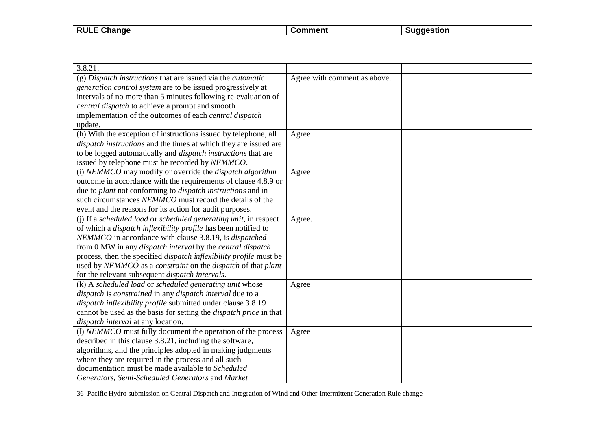| <b>RULE Change</b> | :omment | nestior |
|--------------------|---------|---------|
|                    |         |         |

| 3.8.21.                                                                   |                              |  |
|---------------------------------------------------------------------------|------------------------------|--|
| $(g)$ Dispatch instructions that are issued via the <i>automatic</i>      | Agree with comment as above. |  |
| generation control system are to be issued progressively at               |                              |  |
| intervals of no more than 5 minutes following re-evaluation of            |                              |  |
| central dispatch to achieve a prompt and smooth                           |                              |  |
| implementation of the outcomes of each <i>central dispatch</i>            |                              |  |
| update.                                                                   |                              |  |
| (h) With the exception of instructions issued by telephone, all           | Agree                        |  |
| <i>dispatch instructions</i> and the times at which they are issued are   |                              |  |
| to be logged automatically and <i>dispatch instructions</i> that are      |                              |  |
| issued by telephone must be recorded by NEMMCO.                           |                              |  |
| (i) NEMMCO may modify or override the dispatch algorithm                  | Agree                        |  |
| outcome in accordance with the requirements of clause 4.8.9 or            |                              |  |
| due to plant not conforming to dispatch instructions and in               |                              |  |
| such circumstances NEMMCO must record the details of the                  |                              |  |
| event and the reasons for its action for audit purposes.                  |                              |  |
| (i) If a scheduled load or scheduled generating unit, in respect          | Agree.                       |  |
| of which a <i>dispatch inflexibility profile</i> has been notified to     |                              |  |
| NEMMCO in accordance with clause 3.8.19, is <i>dispatched</i>             |                              |  |
| from 0 MW in any <i>dispatch interval</i> by the <i>central dispatch</i>  |                              |  |
| process, then the specified <i>dispatch inflexibility profile</i> must be |                              |  |
| used by NEMMCO as a constraint on the dispatch of that plant              |                              |  |
| for the relevant subsequent <i>dispatch intervals</i> .                   |                              |  |
| (k) A scheduled load or scheduled generating unit whose                   | Agree                        |  |
| dispatch is constrained in any dispatch interval due to a                 |                              |  |
| dispatch inflexibility profile submitted under clause 3.8.19              |                              |  |
| cannot be used as the basis for setting the <i>dispatch price</i> in that |                              |  |
| dispatch interval at any location.                                        |                              |  |
| (I) NEMMCO must fully document the operation of the process               | Agree                        |  |
| described in this clause 3.8.21, including the software,                  |                              |  |
| algorithms, and the principles adopted in making judgments                |                              |  |
| where they are required in the process and all such                       |                              |  |
| documentation must be made available to Scheduled                         |                              |  |
| Generators, Semi-Scheduled Generators and Market                          |                              |  |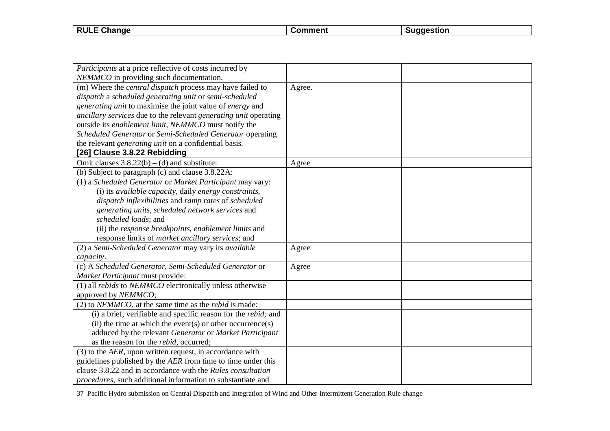| <b>RULE</b><br>. Change | max | stior! |
|-------------------------|-----|--------|
|                         |     |        |

| <i>Participants</i> at a price reflective of costs incurred by         |        |  |
|------------------------------------------------------------------------|--------|--|
| NEMMCO in providing such documentation.                                |        |  |
| (m) Where the <i>central dispatch</i> process may have failed to       | Agree. |  |
| dispatch a scheduled generating unit or semi-scheduled                 |        |  |
| generating unit to maximise the joint value of energy and              |        |  |
| ancillary services due to the relevant generating unit operating       |        |  |
| outside its enablement limit, NEMMCO must notify the                   |        |  |
| Scheduled Generator or Semi-Scheduled Generator operating              |        |  |
| the relevant <i>generating unit</i> on a confidential basis.           |        |  |
| [26] Clause 3.8.22 Rebidding                                           |        |  |
| Omit clauses $3.8.22(b) - (d)$ and substitute:                         | Agree  |  |
| (b) Subject to paragraph (c) and clause 3.8.22A:                       |        |  |
| (1) a Scheduled Generator or Market Participant may vary:              |        |  |
| (i) its available capacity, daily energy constraints,                  |        |  |
| dispatch inflexibilities and ramp rates of scheduled                   |        |  |
| generating units, scheduled network services and                       |        |  |
| scheduled loads; and                                                   |        |  |
| (ii) the response breakpoints, enablement limits and                   |        |  |
| response limits of <i>market ancillary services</i> ; and              |        |  |
| (2) a Semi-Scheduled Generator may vary its available                  | Agree  |  |
| capacity.                                                              |        |  |
| (c) A Scheduled Generator, Semi-Scheduled Generator or                 | Agree  |  |
| Market Participant must provide:                                       |        |  |
| (1) all <i>rebids</i> to <i>NEMMCO</i> electronically unless otherwise |        |  |
| approved by NEMMCO;                                                    |        |  |
| $(2)$ to <i>NEMMCO</i> , at the same time as the <i>rebid</i> is made: |        |  |
| (i) a brief, verifiable and specific reason for the rebid; and         |        |  |
| (ii) the time at which the event(s) or other occurrence(s)             |        |  |
| adduced by the relevant Generator or Market Participant                |        |  |
| as the reason for the <i>rebid</i> , occurred;                         |        |  |
| $(3)$ to the AER, upon written request, in accordance with             |        |  |
| guidelines published by the AER from time to time under this           |        |  |
| clause 3.8.22 and in accordance with the Rules consultation            |        |  |
| procedures, such additional information to substantiate and            |        |  |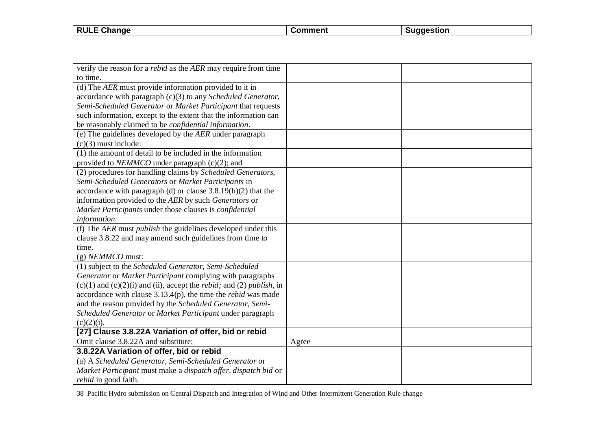| <b>RUL</b><br>ange<br>---<br>- - | tı∩r |
|----------------------------------|------|
|                                  |      |

| verify the reason for a <i>rebid</i> as the AER may require from time                       |       |  |
|---------------------------------------------------------------------------------------------|-------|--|
| to time.                                                                                    |       |  |
| (d) The AER must provide information provided to it in                                      |       |  |
| accordance with paragraph $(c)(3)$ to any <i>Scheduled Generator</i> ,                      |       |  |
| Semi-Scheduled Generator or Market Participant that requests                                |       |  |
| such information, except to the extent that the information can                             |       |  |
|                                                                                             |       |  |
| be reasonably claimed to be <i>confidential information</i> .                               |       |  |
| (e) The guidelines developed by the $AER$ under paragraph                                   |       |  |
| $(c)(3)$ must include:                                                                      |       |  |
| (1) the amount of detail to be included in the information                                  |       |  |
| provided to <i>NEMMCO</i> under paragraph (c)(2); and                                       |       |  |
| (2) procedures for handling claims by Scheduled Generators,                                 |       |  |
| Semi-Scheduled Generators or Market Participants in                                         |       |  |
| accordance with paragraph (d) or clause $3.8.19(b)(2)$ that the                             |       |  |
| information provided to the AER by such Generators or                                       |       |  |
| Market Participants under those clauses is confidential                                     |       |  |
| information.                                                                                |       |  |
| (f) The AER must <i>publish</i> the guidelines developed under this                         |       |  |
| clause 3.8.22 and may amend such guidelines from time to                                    |       |  |
| time.                                                                                       |       |  |
| $(g)$ <i>NEMMCO</i> must:                                                                   |       |  |
| (1) subject to the Scheduled Generator, Semi-Scheduled                                      |       |  |
| Generator or Market Participant complying with paragraphs                                   |       |  |
| $(c)(1)$ and $(c)(2)(i)$ and $(ii)$ , accept the <i>rebid</i> ; and (2) <i>publish</i> , in |       |  |
| accordance with clause $3.13.4(p)$ , the time the <i>rebid</i> was made                     |       |  |
| and the reason provided by the Scheduled Generator, Semi-                                   |       |  |
| Scheduled Generator or Market Participant under paragraph                                   |       |  |
| $(c)(2)(i)$ .                                                                               |       |  |
| [27] Clause 3.8.22A Variation of offer, bid or rebid                                        |       |  |
| Omit clause 3.8.22A and substitute:                                                         | Agree |  |
| 3.8.22A Variation of offer, bid or rebid                                                    |       |  |
| (a) A Scheduled Generator, Semi-Scheduled Generator or                                      |       |  |
| Market Participant must make a dispatch offer, dispatch bid or                              |       |  |
| <i>rebid</i> in good faith.                                                                 |       |  |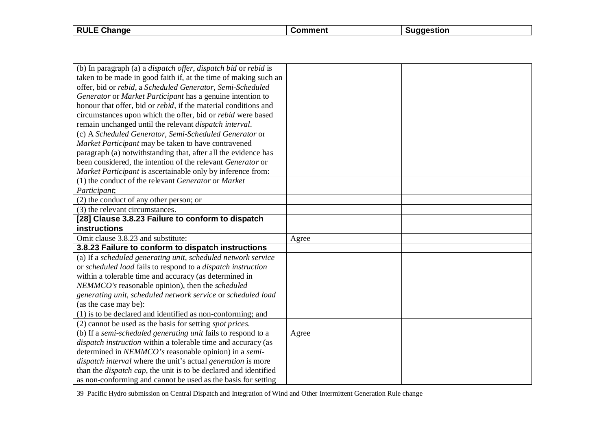| <b>RULE</b><br>Change | `ommen\ | stıor |
|-----------------------|---------|-------|
|                       |         |       |

| (b) In paragraph (a) a <i>dispatch offer</i> , <i>dispatch bid</i> or <i>rebid</i> is |       |  |
|---------------------------------------------------------------------------------------|-------|--|
| taken to be made in good faith if, at the time of making such an                      |       |  |
| offer, bid or rebid, a Scheduled Generator, Semi-Scheduled                            |       |  |
| Generator or Market Participant has a genuine intention to                            |       |  |
| honour that offer, bid or <i>rebid</i> , if the material conditions and               |       |  |
| circumstances upon which the offer, bid or <i>rebid</i> were based                    |       |  |
| remain unchanged until the relevant dispatch interval.                                |       |  |
| (c) A Scheduled Generator, Semi-Scheduled Generator or                                |       |  |
| Market Participant may be taken to have contravened                                   |       |  |
| paragraph (a) notwithstanding that, after all the evidence has                        |       |  |
| been considered, the intention of the relevant Generator or                           |       |  |
| Market Participant is ascertainable only by inference from:                           |       |  |
| (1) the conduct of the relevant Generator or Market                                   |       |  |
| Participant;                                                                          |       |  |
| (2) the conduct of any other person; or                                               |       |  |
| (3) the relevant circumstances.                                                       |       |  |
| [28] Clause 3.8.23 Failure to conform to dispatch                                     |       |  |
|                                                                                       |       |  |
| instructions                                                                          |       |  |
| Omit clause 3.8.23 and substitute:                                                    | Agree |  |
| 3.8.23 Failure to conform to dispatch instructions                                    |       |  |
| (a) If a scheduled generating unit, scheduled network service                         |       |  |
| or scheduled load fails to respond to a dispatch instruction                          |       |  |
| within a tolerable time and accuracy (as determined in                                |       |  |
| NEMMCO's reasonable opinion), then the scheduled                                      |       |  |
| generating unit, scheduled network service or scheduled load                          |       |  |
| (as the case may be):                                                                 |       |  |
| (1) is to be declared and identified as non-conforming; and                           |       |  |
| (2) cannot be used as the basis for setting <i>spot prices</i> .                      |       |  |
| (b) If a semi-scheduled generating unit fails to respond to a                         | Agree |  |
| <i>dispatch instruction</i> within a tolerable time and accuracy (as                  |       |  |
| determined in NEMMCO's reasonable opinion) in a semi-                                 |       |  |
| dispatch interval where the unit's actual generation is more                          |       |  |
| than the <i>dispatch cap</i> , the unit is to be declared and identified              |       |  |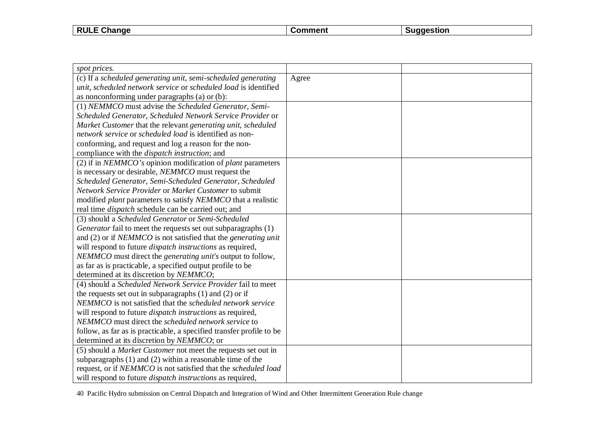| T Change<br><b>RULE</b><br>- | <b>ment</b> | aestion |
|------------------------------|-------------|---------|
|                              |             |         |

| spot prices.                                                                   |       |  |
|--------------------------------------------------------------------------------|-------|--|
| (c) If a scheduled generating unit, semi-scheduled generating                  | Agree |  |
| unit, scheduled network service or scheduled load is identified                |       |  |
| as nonconforming under paragraphs (a) or (b):                                  |       |  |
| (1) NEMMCO must advise the Scheduled Generator, Semi-                          |       |  |
| Scheduled Generator, Scheduled Network Service Provider or                     |       |  |
| Market Customer that the relevant generating unit, scheduled                   |       |  |
| network service or scheduled load is identified as non-                        |       |  |
| conforming, and request and log a reason for the non-                          |       |  |
| compliance with the <i>dispatch instruction</i> ; and                          |       |  |
| (2) if in NEMMCO's opinion modification of plant parameters                    |       |  |
| is necessary or desirable, NEMMCO must request the                             |       |  |
| Scheduled Generator, Semi-Scheduled Generator, Scheduled                       |       |  |
| Network Service Provider or Market Customer to submit                          |       |  |
| modified plant parameters to satisfy NEMMCO that a realistic                   |       |  |
| real time <i>dispatch</i> schedule can be carried out; and                     |       |  |
| (3) should a Scheduled Generator or Semi-Scheduled                             |       |  |
| Generator fail to meet the requests set out subparagraphs (1)                  |       |  |
| and $(2)$ or if <i>NEMMCO</i> is not satisfied that the <i>generating unit</i> |       |  |
| will respond to future <i>dispatch instructions</i> as required,               |       |  |
| NEMMCO must direct the generating unit's output to follow,                     |       |  |
| as far as is practicable, a specified output profile to be                     |       |  |
| determined at its discretion by NEMMCO;                                        |       |  |
| (4) should a Scheduled Network Service Provider fail to meet                   |       |  |
| the requests set out in subparagraphs $(1)$ and $(2)$ or if                    |       |  |
| NEMMCO is not satisfied that the scheduled network service                     |       |  |
| will respond to future <i>dispatch instructions</i> as required,               |       |  |
| NEMMCO must direct the scheduled network service to                            |       |  |
| follow, as far as is practicable, a specified transfer profile to be           |       |  |
| determined at its discretion by NEMMCO; or                                     |       |  |
| (5) should a Market Customer not meet the requests set out in                  |       |  |
| subparagraphs $(1)$ and $(2)$ within a reasonable time of the                  |       |  |
| request, or if NEMMCO is not satisfied that the scheduled load                 |       |  |
| will respond to future <i>dispatch instructions</i> as required,               |       |  |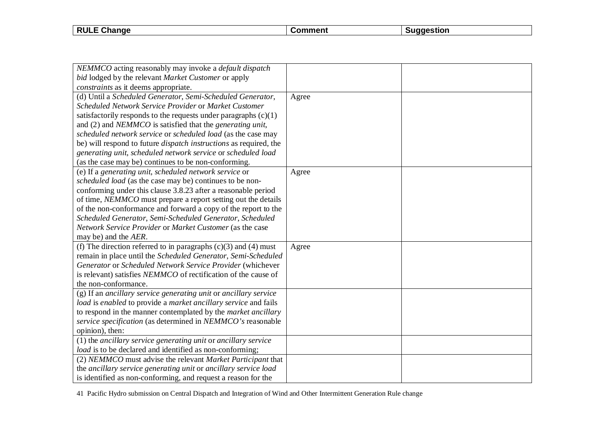| <b>RULE</b><br>Change | ഹ∼ | aestion |
|-----------------------|----|---------|
|                       |    |         |

| NEMMCO acting reasonably may invoke a <i>default dispatch</i>              |       |  |
|----------------------------------------------------------------------------|-------|--|
| bid lodged by the relevant Market Customer or apply                        |       |  |
| constraints as it deems appropriate.                                       |       |  |
| (d) Until a Scheduled Generator, Semi-Scheduled Generator,                 | Agree |  |
| Scheduled Network Service Provider or Market Customer                      |       |  |
| satisfactorily responds to the requests under paragraphs $(c)(1)$          |       |  |
| and $(2)$ and <i>NEMMCO</i> is satisfied that the <i>generating unit</i> , |       |  |
| scheduled network service or scheduled load (as the case may               |       |  |
| be) will respond to future <i>dispatch instructions</i> as required, the   |       |  |
| generating unit, scheduled network service or scheduled load               |       |  |
| (as the case may be) continues to be non-conforming.                       |       |  |
| (e) If a generating unit, scheduled network service or                     | Agree |  |
| scheduled load (as the case may be) continues to be non-                   |       |  |
| conforming under this clause 3.8.23 after a reasonable period              |       |  |
| of time, <i>NEMMCO</i> must prepare a report setting out the details       |       |  |
| of the non-conformance and forward a copy of the report to the             |       |  |
| Scheduled Generator, Semi-Scheduled Generator, Scheduled                   |       |  |
| Network Service Provider or Market Customer (as the case                   |       |  |
| may be) and the AER.                                                       |       |  |
| (f) The direction referred to in paragraphs $(c)(3)$ and $(4)$ must        | Agree |  |
| remain in place until the Scheduled Generator, Semi-Scheduled              |       |  |
| Generator or Scheduled Network Service Provider (whichever                 |       |  |
| is relevant) satisfies NEMMCO of rectification of the cause of             |       |  |
| the non-conformance.                                                       |       |  |
| (g) If an ancillary service generating unit or ancillary service           |       |  |
| load is enabled to provide a market ancillary service and fails            |       |  |
| to respond in the manner contemplated by the market ancillary              |       |  |
| service specification (as determined in NEMMCO's reasonable                |       |  |
| opinion), then:                                                            |       |  |
| (1) the ancillary service generating unit or ancillary service             |       |  |
| load is to be declared and identified as non-conforming;                   |       |  |
| (2) NEMMCO must advise the relevant Market Participant that                |       |  |
| the ancillary service generating unit or ancillary service load            |       |  |
| is identified as non-conforming, and request a reason for the              |       |  |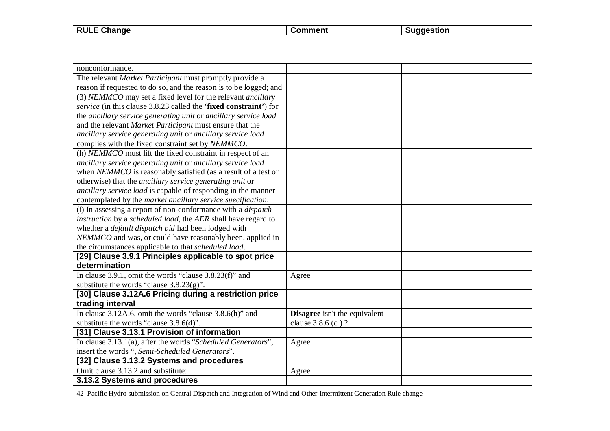| . Change<br><b>RULE</b> | .nen′ | agestion |
|-------------------------|-------|----------|
|                         |       |          |

| nonconformance.                                                     |                                      |  |
|---------------------------------------------------------------------|--------------------------------------|--|
| The relevant Market Participant must promptly provide a             |                                      |  |
| reason if requested to do so, and the reason is to be logged; and   |                                      |  |
| (3) NEMMCO may set a fixed level for the relevant <i>ancillary</i>  |                                      |  |
| service (in this clause 3.8.23 called the 'fixed constraint') for   |                                      |  |
| the ancillary service generating unit or ancillary service load     |                                      |  |
| and the relevant Market Participant must ensure that the            |                                      |  |
| ancillary service generating unit or ancillary service load         |                                      |  |
| complies with the fixed constraint set by NEMMCO.                   |                                      |  |
| (h) NEMMCO must lift the fixed constraint in respect of an          |                                      |  |
| ancillary service generating unit or ancillary service load         |                                      |  |
| when NEMMCO is reasonably satisfied (as a result of a test or       |                                      |  |
| otherwise) that the ancillary service generating unit or            |                                      |  |
| ancillary service load is capable of responding in the manner       |                                      |  |
| contemplated by the market ancillary service specification.         |                                      |  |
| (i) In assessing a report of non-conformance with a <i>dispatch</i> |                                      |  |
| instruction by a scheduled load, the AER shall have regard to       |                                      |  |
| whether a <i>default dispatch bid</i> had been lodged with          |                                      |  |
| NEMMCO and was, or could have reasonably been, applied in           |                                      |  |
| the circumstances applicable to that scheduled load.                |                                      |  |
| [29] Clause 3.9.1 Principles applicable to spot price               |                                      |  |
| determination                                                       |                                      |  |
| In clause 3.9.1, omit the words "clause $3.8.23(f)$ " and           | Agree                                |  |
| substitute the words "clause $3.8.23(g)$ ".                         |                                      |  |
| [30] Clause 3.12A.6 Pricing during a restriction price              |                                      |  |
| trading interval                                                    |                                      |  |
| In clause $3.12A.6$ , omit the words "clause $3.8.6(h)$ " and       | <b>Disagree</b> isn't the equivalent |  |
| substitute the words "clause 3.8.6(d)".                             | clause 3.8.6 (c)?                    |  |
| [31] Clause 3.13.1 Provision of information                         |                                      |  |
| In clause 3.13.1(a), after the words "Scheduled Generators",        | Agree                                |  |
| insert the words ", Semi-Scheduled Generators".                     |                                      |  |
| [32] Clause 3.13.2 Systems and procedures                           |                                      |  |
| Omit clause 3.13.2 and substitute:                                  | Agree                                |  |
| 3.13.2 Systems and procedures                                       |                                      |  |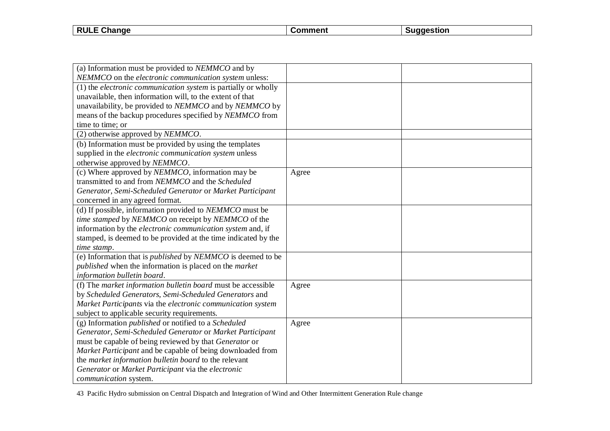| $ -$<br>"י ום<br>----<br>⇒nange<br><b>KULE</b><br>,,,,,, | mmani | stion |
|----------------------------------------------------------|-------|-------|
|                                                          |       |       |

| (a) Information must be provided to NEMMCO and by                         |       |  |
|---------------------------------------------------------------------------|-------|--|
| NEMMCO on the electronic communication system unless:                     |       |  |
| (1) the <i>electronic communication system</i> is partially or wholly     |       |  |
| unavailable, then information will, to the extent of that                 |       |  |
| unavailability, be provided to NEMMCO and by NEMMCO by                    |       |  |
| means of the backup procedures specified by NEMMCO from                   |       |  |
| time to time; or                                                          |       |  |
| (2) otherwise approved by NEMMCO.                                         |       |  |
| (b) Information must be provided by using the templates                   |       |  |
| supplied in the electronic communication system unless                    |       |  |
| otherwise approved by NEMMCO.                                             |       |  |
| (c) Where approved by <i>NEMMCO</i> , information may be                  | Agree |  |
| transmitted to and from NEMMCO and the Scheduled                          |       |  |
| Generator, Semi-Scheduled Generator or Market Participant                 |       |  |
| concerned in any agreed format.                                           |       |  |
| (d) If possible, information provided to NEMMCO must be                   |       |  |
| time stamped by NEMMCO on receipt by NEMMCO of the                        |       |  |
| information by the electronic communication system and, if                |       |  |
| stamped, is deemed to be provided at the time indicated by the            |       |  |
| time stamp.                                                               |       |  |
| (e) Information that is <i>published</i> by <i>NEMMCO</i> is deemed to be |       |  |
| published when the information is placed on the market                    |       |  |
| information bulletin board.                                               |       |  |
| (f) The market information bulletin board must be accessible              | Agree |  |
| by Scheduled Generators, Semi-Scheduled Generators and                    |       |  |
| Market Participants via the electronic communication system               |       |  |
| subject to applicable security requirements.                              |       |  |
| (g) Information <i>published</i> or notified to a <i>Scheduled</i>        | Agree |  |
| Generator, Semi-Scheduled Generator or Market Participant                 |       |  |
| must be capable of being reviewed by that Generator or                    |       |  |
| Market Participant and be capable of being downloaded from                |       |  |
| the market information bulletin board to the relevant                     |       |  |
| Generator or Market Participant via the electronic                        |       |  |
| communication system.                                                     |       |  |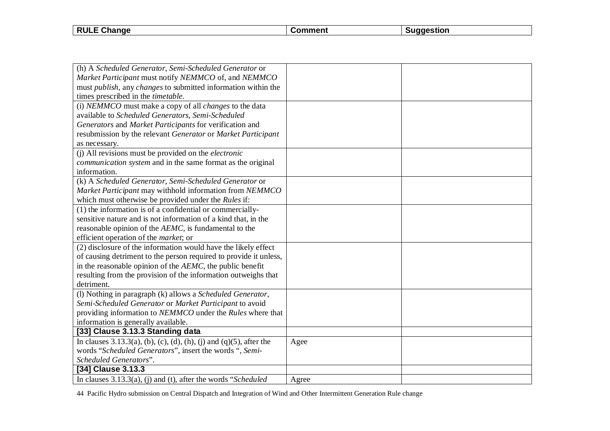| <b>RULE</b><br>Change | ഹ∼ | aestion |
|-----------------------|----|---------|
|                       |    |         |

| (h) A Scheduled Generator, Semi-Scheduled Generator or                 |       |  |
|------------------------------------------------------------------------|-------|--|
| Market Participant must notify NEMMCO of, and NEMMCO                   |       |  |
| must publish, any changes to submitted information within the          |       |  |
| times prescribed in the <i>timetable</i> .                             |       |  |
| (i) NEMMCO must make a copy of all changes to the data                 |       |  |
| available to Scheduled Generators, Semi-Scheduled                      |       |  |
| Generators and Market Participants for verification and                |       |  |
| resubmission by the relevant Generator or Market Participant           |       |  |
| as necessary.                                                          |       |  |
| (j) All revisions must be provided on the <i>electronic</i>            |       |  |
| communication system and in the same format as the original            |       |  |
| information.                                                           |       |  |
| (k) A Scheduled Generator, Semi-Scheduled Generator or                 |       |  |
| Market Participant may withhold information from NEMMCO                |       |  |
| which must otherwise be provided under the Rules if:                   |       |  |
| (1) the information is of a confidential or commercially-              |       |  |
| sensitive nature and is not information of a kind that, in the         |       |  |
| reasonable opinion of the AEMC, is fundamental to the                  |       |  |
| efficient operation of the <i>market</i> ; or                          |       |  |
| (2) disclosure of the information would have the likely effect         |       |  |
| of causing detriment to the person required to provide it unless,      |       |  |
| in the reasonable opinion of the AEMC, the public benefit              |       |  |
| resulting from the provision of the information outweighs that         |       |  |
| detriment.                                                             |       |  |
| (l) Nothing in paragraph (k) allows a Scheduled Generator,             |       |  |
| Semi-Scheduled Generator or Market Participant to avoid                |       |  |
| providing information to NEMMCO under the Rules where that             |       |  |
| information is generally available.                                    |       |  |
| [33] Clause 3.13.3 Standing data                                       |       |  |
| In clauses $3.13.3(a)$ , (b), (c), (d), (h), (j) and (q)(5), after the | Agee  |  |
| words "Scheduled Generators", insert the words ", Semi-                |       |  |
| Scheduled Generators".                                                 |       |  |
| [34] Clause 3.13.3                                                     |       |  |
| In clauses $3.13.3(a)$ , (i) and (t), after the words "Scheduled       | Agree |  |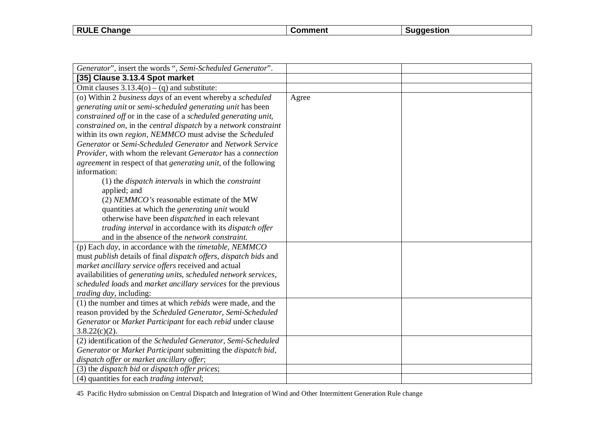| Change<br><b>RULE</b> | .nn | :stior |
|-----------------------|-----|--------|
|                       |     |        |

| Generator", insert the words ", Semi-Scheduled Generator".                    |       |  |
|-------------------------------------------------------------------------------|-------|--|
| [35] Clause 3.13.4 Spot market                                                |       |  |
| Omit clauses $3.13.4(o) - (q)$ and substitute:                                |       |  |
| (o) Within 2 business days of an event whereby a scheduled                    | Agree |  |
| generating unit or semi-scheduled generating unit has been                    |       |  |
| constrained off or in the case of a scheduled generating unit,                |       |  |
| constrained on, in the central dispatch by a network constraint               |       |  |
| within its own region, NEMMCO must advise the Scheduled                       |       |  |
| Generator or Semi-Scheduled Generator and Network Service                     |       |  |
| Provider, with whom the relevant Generator has a connection                   |       |  |
| agreement in respect of that generating unit, of the following                |       |  |
| information:                                                                  |       |  |
| $(1)$ the <i>dispatch intervals</i> in which the <i>constraint</i>            |       |  |
| applied; and                                                                  |       |  |
| (2) NEMMCO's reasonable estimate of the MW                                    |       |  |
| quantities at which the <i>generating unit</i> would                          |       |  |
| otherwise have been <i>dispatched</i> in each relevant                        |       |  |
| trading interval in accordance with its dispatch offer                        |       |  |
| and in the absence of the network constraint.                                 |       |  |
| (p) Each <i>day</i> , in accordance with the <i>timetable</i> , <i>NEMMCO</i> |       |  |
| must publish details of final dispatch offers, dispatch bids and              |       |  |
| market ancillary service offers received and actual                           |       |  |
| availabilities of generating units, scheduled network services,               |       |  |
| scheduled loads and market ancillary services for the previous                |       |  |
| <i>trading day</i> , including:                                               |       |  |
| (1) the number and times at which <i>rebids</i> were made, and the            |       |  |
| reason provided by the Scheduled Generator, Semi-Scheduled                    |       |  |
| Generator or Market Participant for each rebid under clause                   |       |  |
| $3.8.22(c)(2)$ .                                                              |       |  |
| (2) identification of the Scheduled Generator, Semi-Scheduled                 |       |  |
| Generator or Market Participant submitting the dispatch bid,                  |       |  |
| dispatch offer or market ancillary offer;                                     |       |  |
| (3) the <i>dispatch bid</i> or <i>dispatch offer prices</i> ;                 |       |  |
| (4) quantities for each <i>trading interval</i> ;                             |       |  |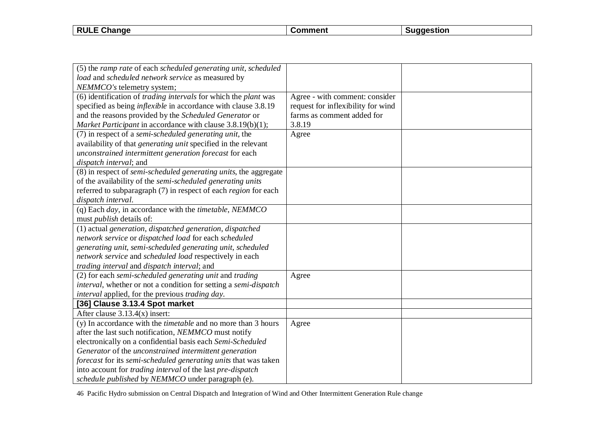| <b>RULE Change</b> | nment | stıor<br>. 105 |
|--------------------|-------|----------------|
|                    |       |                |

| (5) the ramp rate of each scheduled generating unit, scheduled                  |                                    |  |
|---------------------------------------------------------------------------------|------------------------------------|--|
| load and scheduled network service as measured by                               |                                    |  |
| NEMMCO's telemetry system;                                                      |                                    |  |
| (6) identification of <i>trading intervals</i> for which the <i>plant</i> was   | Agree - with comment: consider     |  |
| specified as being <i>inflexible</i> in accordance with clause 3.8.19           | request for inflexibility for wind |  |
| and the reasons provided by the Scheduled Generator or                          | farms as comment added for         |  |
| Market Participant in accordance with clause 3.8.19(b)(1);                      | 3.8.19                             |  |
| (7) in respect of a semi-scheduled generating unit, the                         | Agree                              |  |
| availability of that generating unit specified in the relevant                  |                                    |  |
| unconstrained intermittent generation forecast for each                         |                                    |  |
| dispatch interval; and                                                          |                                    |  |
| (8) in respect of <i>semi-scheduled generating units</i> , the aggregate        |                                    |  |
| of the availability of the semi-scheduled generating units                      |                                    |  |
| referred to subparagraph (7) in respect of each <i>region</i> for each          |                                    |  |
| dispatch interval.                                                              |                                    |  |
| (q) Each $day$ , in accordance with the <i>timetable</i> , <i>NEMMCO</i>        |                                    |  |
| must <i>publish</i> details of:                                                 |                                    |  |
| (1) actual generation, dispatched generation, dispatched                        |                                    |  |
| network service or dispatched load for each scheduled                           |                                    |  |
| generating unit, semi-scheduled generating unit, scheduled                      |                                    |  |
| network service and scheduled load respectively in each                         |                                    |  |
| trading interval and dispatch interval; and                                     |                                    |  |
| (2) for each semi-scheduled generating unit and trading                         | Agree                              |  |
| <i>interval</i> , whether or not a condition for setting a <i>semi-dispatch</i> |                                    |  |
| interval applied, for the previous trading day.                                 |                                    |  |
| [36] Clause 3.13.4 Spot market                                                  |                                    |  |
| After clause $3.13.4(x)$ insert:                                                |                                    |  |
| (y) In accordance with the <i>timetable</i> and no more than 3 hours            | Agree                              |  |
| after the last such notification, NEMMCO must notify                            |                                    |  |
| electronically on a confidential basis each Semi-Scheduled                      |                                    |  |
| Generator of the unconstrained intermittent generation                          |                                    |  |
| forecast for its semi-scheduled generating units that was taken                 |                                    |  |
| into account for trading interval of the last pre-dispatch                      |                                    |  |
| schedule published by NEMMCO under paragraph (e).                               |                                    |  |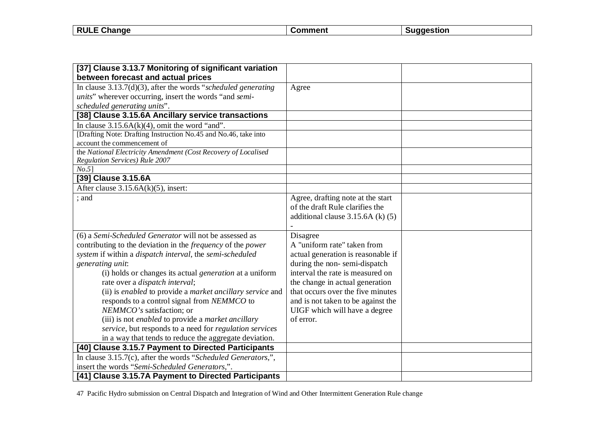| <b>RULE</b><br>ごhange | nmment | estion<br>. . |
|-----------------------|--------|---------------|
|                       |        |               |

| [37] Clause 3.13.7 Monitoring of significant variation                    |                                    |  |
|---------------------------------------------------------------------------|------------------------------------|--|
| between forecast and actual prices                                        |                                    |  |
| In clause $3.13.7(d)(3)$ , after the words "scheduled generating"         | Agree                              |  |
| units" wherever occurring, insert the words "and semi-                    |                                    |  |
| scheduled generating units".                                              |                                    |  |
| [38] Clause 3.15.6A Ancillary service transactions                        |                                    |  |
| In clause $3.15.6A(k)(4)$ , omit the word "and".                          |                                    |  |
| [Drafting Note: Drafting Instruction No.45 and No.46, take into           |                                    |  |
| account the commencement of                                               |                                    |  |
| the National Electricity Amendment (Cost Recovery of Localised            |                                    |  |
| Regulation Services) Rule 2007                                            |                                    |  |
| $No.5$ ]                                                                  |                                    |  |
| [39] Clause 3.15.6A                                                       |                                    |  |
| After clause $3.15.6A(k)(5)$ , insert:                                    |                                    |  |
| ; and                                                                     | Agree, drafting note at the start  |  |
|                                                                           | of the draft Rule clarifies the    |  |
|                                                                           | additional clause 3.15.6A (k) (5)  |  |
|                                                                           |                                    |  |
| (6) a Semi-Scheduled Generator will not be assessed as                    | Disagree                           |  |
| contributing to the deviation in the <i>frequency</i> of the <i>power</i> | A "uniform rate" taken from        |  |
| system if within a dispatch interval, the semi-scheduled                  | actual generation is reasonable if |  |
| generating unit:                                                          | during the non-semi-dispatch       |  |
| (i) holds or changes its actual <i>generation</i> at a uniform            | interval the rate is measured on   |  |
| rate over a dispatch interval;                                            | the change in actual generation    |  |
| (ii) is enabled to provide a market ancillary service and                 | that occurs over the five minutes  |  |
| responds to a control signal from NEMMCO to                               | and is not taken to be against the |  |
| NEMMCO's satisfaction; or                                                 | UIGF which will have a degree      |  |
| (iii) is not enabled to provide a market ancillary                        | of error.                          |  |
| service, but responds to a need for regulation services                   |                                    |  |
| in a way that tends to reduce the aggregate deviation.                    |                                    |  |
| [40] Clause 3.15.7 Payment to Directed Participants                       |                                    |  |
| In clause 3.15.7(c), after the words "Scheduled Generators,",             |                                    |  |
| insert the words "Semi-Scheduled Generators,".                            |                                    |  |
| [41] Clause 3.15.7A Payment to Directed Participants                      |                                    |  |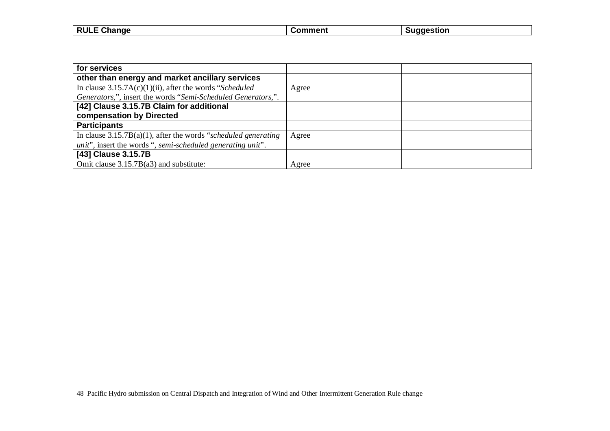| <b>RULL</b><br>Change<br>-- | $n_{\rm{max}}$ | ıestion |
|-----------------------------|----------------|---------|
|                             |                |         |

 $\overline{\phantom{a}}$ 

| for services                                                                |       |  |
|-----------------------------------------------------------------------------|-------|--|
| other than energy and market ancillary services                             |       |  |
| In clause $3.15.7A(c)(1)(ii)$ , after the words "Scheduled"                 | Agree |  |
| Generators,", insert the words "Semi-Scheduled Generators,".                |       |  |
| [42] Clause 3.15.7B Claim for additional                                    |       |  |
| compensation by Directed                                                    |       |  |
| <b>Participants</b>                                                         |       |  |
| In clause $3.15.7B(a)(1)$ , after the words "scheduled generating"          | Agree |  |
| <i>unit</i> ", insert the words ", <i>semi-scheduled generating unit</i> ". |       |  |
| [43] Clause 3.15.7B                                                         |       |  |
| Omit clause 3.15.7B(a3) and substitute:                                     | Agree |  |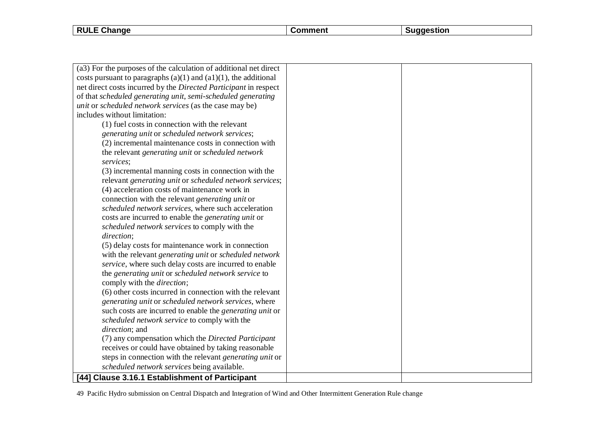**RULE Change Comment Comment Suggestion** 

| (a3) For the purposes of the calculation of additional net direct     |  |
|-----------------------------------------------------------------------|--|
| costs pursuant to paragraphs $(a)(1)$ and $(a1)(1)$ , the additional  |  |
| net direct costs incurred by the Directed Participant in respect      |  |
| of that scheduled generating unit, semi-scheduled generating          |  |
| <i>unit</i> or <i>scheduled network services</i> (as the case may be) |  |
| includes without limitation:                                          |  |
| (1) fuel costs in connection with the relevant                        |  |
| generating unit or scheduled network services;                        |  |
| (2) incremental maintenance costs in connection with                  |  |
| the relevant generating unit or scheduled network                     |  |
| services;                                                             |  |
| (3) incremental manning costs in connection with the                  |  |
| relevant generating unit or scheduled network services;               |  |
| (4) acceleration costs of maintenance work in                         |  |
| connection with the relevant <i>generating unit</i> or                |  |
| scheduled network services, where such acceleration                   |  |
| costs are incurred to enable the <i>generating unit</i> or            |  |
| scheduled network services to comply with the                         |  |
| direction;                                                            |  |
| (5) delay costs for maintenance work in connection                    |  |
| with the relevant generating unit or scheduled network                |  |
| service, where such delay costs are incurred to enable                |  |
| the generating unit or scheduled network service to                   |  |
| comply with the <i>direction</i> ;                                    |  |
| (6) other costs incurred in connection with the relevant              |  |
| generating unit or scheduled network services, where                  |  |
| such costs are incurred to enable the <i>generating unit</i> or       |  |
| scheduled network service to comply with the                          |  |
| direction; and                                                        |  |
| (7) any compensation which the Directed Participant                   |  |
| receives or could have obtained by taking reasonable                  |  |
| steps in connection with the relevant generating unit or              |  |
| scheduled network services being available.                           |  |
| [44] Clause 3.16.1 Establishment of Participant                       |  |
|                                                                       |  |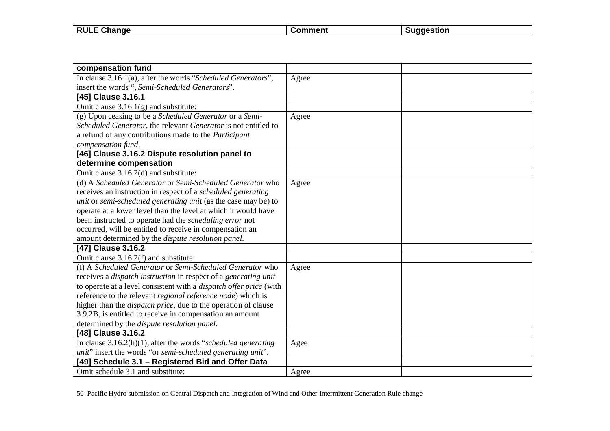| <b>RUL</b><br>$\sim$<br>nange | ∖nmer | ıestion<br>. |
|-------------------------------|-------|--------------|
|                               |       |              |

 $\overline{\phantom{a}}$ 

| compensation fund                                                             |       |  |
|-------------------------------------------------------------------------------|-------|--|
| In clause 3.16.1(a), after the words "Scheduled Generators",                  | Agree |  |
| insert the words ", Semi-Scheduled Generators".                               |       |  |
| [45] Clause 3.16.1                                                            |       |  |
| Omit clause $3.16.1(g)$ and substitute:                                       |       |  |
| (g) Upon ceasing to be a Scheduled Generator or a Semi-                       | Agree |  |
| Scheduled Generator, the relevant Generator is not entitled to                |       |  |
| a refund of any contributions made to the Participant                         |       |  |
| compensation fund.                                                            |       |  |
| [46] Clause 3.16.2 Dispute resolution panel to                                |       |  |
| determine compensation                                                        |       |  |
| Omit clause 3.16.2(d) and substitute:                                         |       |  |
| (d) A Scheduled Generator or Semi-Scheduled Generator who                     | Agree |  |
| receives an instruction in respect of a <i>scheduled generating</i>           |       |  |
| unit or semi-scheduled generating unit (as the case may be) to                |       |  |
| operate at a lower level than the level at which it would have                |       |  |
| been instructed to operate had the <i>scheduling error</i> not                |       |  |
| occurred, will be entitled to receive in compensation an                      |       |  |
| amount determined by the <i>dispute resolution panel</i> .                    |       |  |
| [47] Clause 3.16.2                                                            |       |  |
| Omit clause 3.16.2(f) and substitute:                                         |       |  |
| (f) A Scheduled Generator or Semi-Scheduled Generator who                     | Agree |  |
| receives a <i>dispatch instruction</i> in respect of a <i>generating unit</i> |       |  |
| to operate at a level consistent with a <i>dispatch offer price</i> (with     |       |  |
| reference to the relevant regional reference node) which is                   |       |  |
| higher than the <i>dispatch price</i> , due to the operation of clause        |       |  |
| 3.9.2B, is entitled to receive in compensation an amount                      |       |  |
| determined by the <i>dispute resolution panel</i> .                           |       |  |
| [48] Clause 3.16.2                                                            |       |  |
| In clause $3.16.2(h)(1)$ , after the words "scheduled generating              | Agee  |  |
| unit" insert the words "or semi-scheduled generating unit".                   |       |  |
| [49] Schedule 3.1 - Registered Bid and Offer Data                             |       |  |
| Omit schedule 3.1 and substitute:                                             | Agree |  |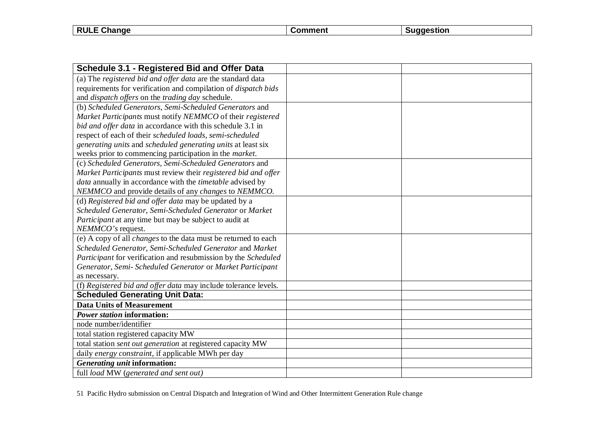| Change<br><b>RULL</b><br>- | .nar' | stion: |
|----------------------------|-------|--------|
|                            |       |        |

| Schedule 3.1 - Registered Bid and Offer Data                          |  |
|-----------------------------------------------------------------------|--|
| (a) The registered bid and offer data are the standard data           |  |
| requirements for verification and compilation of <i>dispatch bids</i> |  |
| and dispatch offers on the trading day schedule.                      |  |
| (b) Scheduled Generators, Semi-Scheduled Generators and               |  |
| Market Participants must notify NEMMCO of their registered            |  |
| bid and offer data in accordance with this schedule 3.1 in            |  |
| respect of each of their scheduled loads, semi-scheduled              |  |
| generating units and scheduled generating units at least six          |  |
| weeks prior to commencing participation in the market.                |  |
| (c) Scheduled Generators, Semi-Scheduled Generators and               |  |
| Market Participants must review their registered bid and offer        |  |
| data annually in accordance with the <i>timetable</i> advised by      |  |
| NEMMCO and provide details of any changes to NEMMCO.                  |  |
| (d) Registered bid and offer data may be updated by a                 |  |
| Scheduled Generator, Semi-Scheduled Generator or Market               |  |
| Participant at any time but may be subject to audit at                |  |
| NEMMCO's request.                                                     |  |
| (e) A copy of all <i>changes</i> to the data must be returned to each |  |
| Scheduled Generator, Semi-Scheduled Generator and Market              |  |
| Participant for verification and resubmission by the Scheduled        |  |
| Generator, Semi- Scheduled Generator or Market Participant            |  |
| as necessary.                                                         |  |
| (f) Registered bid and offer data may include tolerance levels.       |  |
| <b>Scheduled Generating Unit Data:</b>                                |  |
| <b>Data Units of Measurement</b>                                      |  |
| Power station information:                                            |  |
| node number/identifier                                                |  |
| total station registered capacity MW                                  |  |
| total station sent out generation at registered capacity MW           |  |
| daily energy constraint, if applicable MWh per day                    |  |
| Generating unit information:                                          |  |
| full load MW (generated and sent out)                                 |  |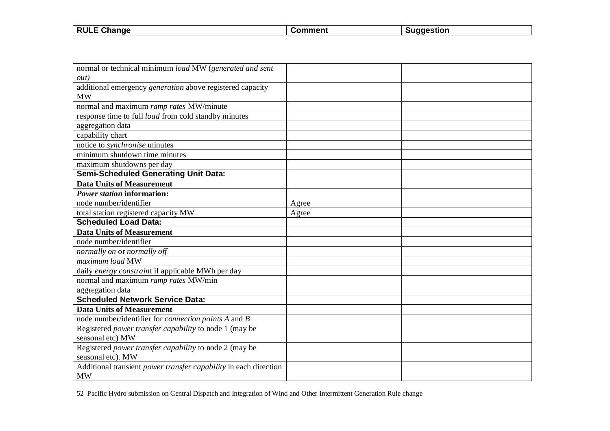| <b>RULE</b><br>Change<br>- - | .omment | iagestion |
|------------------------------|---------|-----------|
|                              |         |           |

 $\overline{\phantom{a}}$ 

| normal or technical minimum load MW (generated and sent                 |       |  |
|-------------------------------------------------------------------------|-------|--|
| out)                                                                    |       |  |
| additional emergency generation above registered capacity               |       |  |
| <b>MW</b>                                                               |       |  |
| normal and maximum ramp rates MW/minute                                 |       |  |
| response time to full <i>load</i> from cold standby minutes             |       |  |
| aggregation data                                                        |       |  |
| capability chart                                                        |       |  |
| notice to <i>synchronise</i> minutes                                    |       |  |
| minimum shutdown time minutes                                           |       |  |
| maximum shutdowns per day                                               |       |  |
| <b>Semi-Scheduled Generating Unit Data:</b>                             |       |  |
| <b>Data Units of Measurement</b>                                        |       |  |
| <b>Power station information:</b>                                       |       |  |
| node number/identifier                                                  | Agree |  |
| total station registered capacity MW                                    | Agree |  |
| <b>Scheduled Load Data:</b>                                             |       |  |
| <b>Data Units of Measurement</b>                                        |       |  |
| node number/identifier                                                  |       |  |
| normally on or normally off                                             |       |  |
| maximum load MW                                                         |       |  |
| daily energy constraint if applicable MWh per day                       |       |  |
| normal and maximum ramp rates MW/min                                    |       |  |
| aggregation data                                                        |       |  |
| <b>Scheduled Network Service Data:</b>                                  |       |  |
| <b>Data Units of Measurement</b>                                        |       |  |
| node number/identifier for <i>connection points A</i> and <i>B</i>      |       |  |
| Registered <i>power transfer capability</i> to node 1 (may be           |       |  |
| seasonal etc) MW                                                        |       |  |
| Registered <i>power transfer capability</i> to node 2 (may be           |       |  |
| seasonal etc). MW                                                       |       |  |
| Additional transient <i>power transfer capability</i> in each direction |       |  |
| <b>MW</b>                                                               |       |  |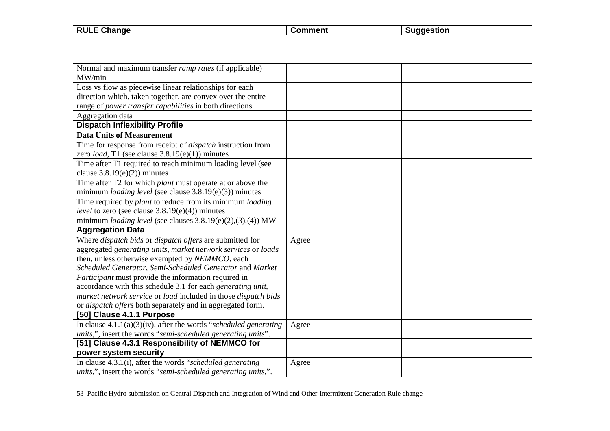| <b>RULE</b><br><b>- ^'</b><br>. Change | ∴ommenf | uaaestion |
|----------------------------------------|---------|-----------|
|                                        |         |           |

 $\overline{\phantom{a}}$ 

| Normal and maximum transfer <i>ramp rates</i> (if applicable)           |       |  |
|-------------------------------------------------------------------------|-------|--|
| MW/min                                                                  |       |  |
| Loss vs flow as piecewise linear relationships for each                 |       |  |
| direction which, taken together, are convex over the entire             |       |  |
| range of power transfer capabilities in both directions                 |       |  |
| Aggregation data                                                        |       |  |
| <b>Dispatch Inflexibility Profile</b>                                   |       |  |
| <b>Data Units of Measurement</b>                                        |       |  |
| Time for response from receipt of <i>dispatch</i> instruction from      |       |  |
| zero <i>load</i> , T1 (see clause $3.8.19(e)(1)$ ) minutes              |       |  |
| Time after T1 required to reach minimum loading level (see              |       |  |
| clause $3.8.19(e)(2)$ ) minutes                                         |       |  |
| Time after T2 for which plant must operate at or above the              |       |  |
| minimum <i>loading level</i> (see clause $3.8.19(e)(3)$ ) minutes       |       |  |
| Time required by <i>plant</i> to reduce from its minimum <i>loading</i> |       |  |
| <i>level</i> to zero (see clause $3.8.19(e)(4)$ ) minutes               |       |  |
| minimum loading level (see clauses $3.8.19(e)(2),(3),(4))$ MW           |       |  |
| <b>Aggregation Data</b>                                                 |       |  |
| Where dispatch bids or dispatch offers are submitted for                | Agree |  |
| aggregated generating units, market network services or loads           |       |  |
| then, unless otherwise exempted by NEMMCO, each                         |       |  |
| Scheduled Generator, Semi-Scheduled Generator and Market                |       |  |
| Participant must provide the information required in                    |       |  |
| accordance with this schedule 3.1 for each generating unit,             |       |  |
| market network service or load included in those dispatch bids          |       |  |
| or dispatch offers both separately and in aggregated form.              |       |  |
| [50] Clause 4.1.1 Purpose                                               |       |  |
| In clause $4.1.1(a)(3)(iv)$ , after the words "scheduled generating     | Agree |  |
| units,", insert the words "semi-scheduled generating units".            |       |  |
| [51] Clause 4.3.1 Responsibility of NEMMCO for                          |       |  |
| power system security                                                   |       |  |
| In clause $4.3.1(i)$ , after the words "scheduled generating            | Agree |  |
| units,", insert the words "semi-scheduled generating units,".           |       |  |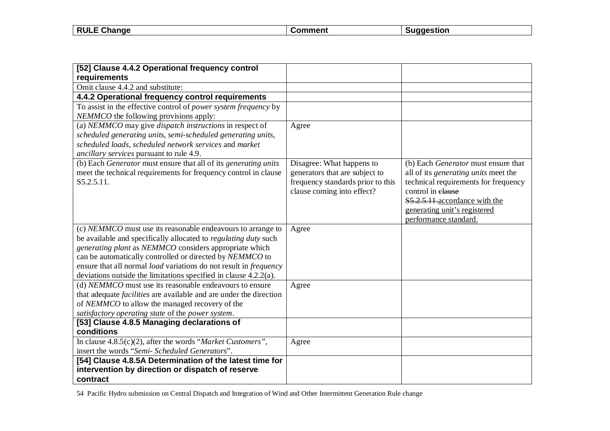| T Change<br><b>RULE</b><br>- | <b>ment</b> | aestion |
|------------------------------|-------------|---------|
|                              |             |         |

| [52] Clause 4.4.2 Operational frequency control                                |                                   |                                             |
|--------------------------------------------------------------------------------|-----------------------------------|---------------------------------------------|
| requirements                                                                   |                                   |                                             |
| Omit clause 4.4.2 and substitute:                                              |                                   |                                             |
| 4.4.2 Operational frequency control requirements                               |                                   |                                             |
| To assist in the effective control of <i>power system frequency</i> by         |                                   |                                             |
| NEMMCO the following provisions apply:                                         |                                   |                                             |
| (a) NEMMCO may give dispatch instructions in respect of                        | Agree                             |                                             |
| scheduled generating units, semi-scheduled generating units,                   |                                   |                                             |
| scheduled loads, scheduled network services and market                         |                                   |                                             |
| ancillary services pursuant to rule 4.9.                                       |                                   |                                             |
| (b) Each <i>Generator</i> must ensure that all of its <i>generating units</i>  | Disagree: What happens to         | (b) Each Generator must ensure that         |
| meet the technical requirements for frequency control in clause                | generators that are subject to    | all of its <i>generating units</i> meet the |
| S5.2.5.11.                                                                     | frequency standards prior to this | technical requirements for frequency        |
|                                                                                | clause coming into effect?        | control in elause                           |
|                                                                                |                                   | \$5.2.5.11. accordance with the             |
|                                                                                |                                   | generating unit's registered                |
|                                                                                |                                   | performance standard.                       |
| (c) NEMMCO must use its reasonable endeavours to arrange to                    | Agree                             |                                             |
| be available and specifically allocated to regulating duty such                |                                   |                                             |
| generating plant as NEMMCO considers appropriate which                         |                                   |                                             |
| can be automatically controlled or directed by NEMMCO to                       |                                   |                                             |
| ensure that all normal load variations do not result in frequency              |                                   |                                             |
| deviations outside the limitations specified in clause $4.2.\overline{2}$ (a). |                                   |                                             |
| (d) NEMMCO must use its reasonable endeavours to ensure                        | Agree                             |                                             |
| that adequate <i>facilities</i> are available and are under the direction      |                                   |                                             |
| of NEMMCO to allow the managed recovery of the                                 |                                   |                                             |
| satisfactory operating state of the power system.                              |                                   |                                             |
| [53] Clause 4.8.5 Managing declarations of                                     |                                   |                                             |
| conditions                                                                     |                                   |                                             |
| In clause $4.8.5(c)(2)$ , after the words "Market Customers",                  | Agree                             |                                             |
| insert the words "Semi- Scheduled Generators".                                 |                                   |                                             |
| [54] Clause 4.8.5A Determination of the latest time for                        |                                   |                                             |
| intervention by direction or dispatch of reserve                               |                                   |                                             |
| contract                                                                       |                                   |                                             |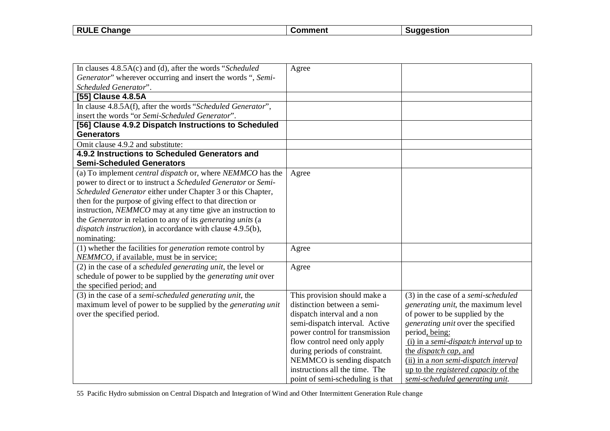| F Change<br><b>RULE</b> | `mment | aestion |
|-------------------------|--------|---------|
|                         |        |         |

| In clauses $4.8.5A(c)$ and (d), after the words "Scheduled"              | Agree                            |                                             |
|--------------------------------------------------------------------------|----------------------------------|---------------------------------------------|
| Generator" wherever occurring and insert the words ", Semi-              |                                  |                                             |
| Scheduled Generator".                                                    |                                  |                                             |
| [55] Clause 4.8.5A                                                       |                                  |                                             |
| In clause 4.8.5A(f), after the words "Scheduled Generator",              |                                  |                                             |
| insert the words "or Semi-Scheduled Generator".                          |                                  |                                             |
| [56] Clause 4.9.2 Dispatch Instructions to Scheduled                     |                                  |                                             |
| <b>Generators</b>                                                        |                                  |                                             |
| Omit clause 4.9.2 and substitute:                                        |                                  |                                             |
| 4.9.2 Instructions to Scheduled Generators and                           |                                  |                                             |
| <b>Semi-Scheduled Generators</b>                                         |                                  |                                             |
| (a) To implement <i>central dispatch</i> or, where <i>NEMMCO</i> has the | Agree                            |                                             |
| power to direct or to instruct a Scheduled Generator or Semi-            |                                  |                                             |
| Scheduled Generator either under Chapter 3 or this Chapter,              |                                  |                                             |
| then for the purpose of giving effect to that direction or               |                                  |                                             |
| instruction, NEMMCO may at any time give an instruction to               |                                  |                                             |
| the Generator in relation to any of its generating units (a              |                                  |                                             |
| dispatch instruction), in accordance with clause 4.9.5(b),               |                                  |                                             |
| nominating:                                                              |                                  |                                             |
| (1) whether the facilities for <i>generation</i> remote control by       | Agree                            |                                             |
| NEMMCO, if available, must be in service;                                |                                  |                                             |
| $(2)$ in the case of a <i>scheduled generating unit</i> , the level or   | Agree                            |                                             |
| schedule of power to be supplied by the generating unit over             |                                  |                                             |
| the specified period; and                                                |                                  |                                             |
| (3) in the case of a <i>semi-scheduled generating unit</i> , the         | This provision should make a     | $(3)$ in the case of a semi-scheduled       |
| maximum level of power to be supplied by the <i>generating unit</i>      | distinction between a semi-      | <i>generating unit, the maximum level</i>   |
| over the specified period.                                               | dispatch interval and a non      | of power to be supplied by the              |
|                                                                          | semi-dispatch interval. Active   | generating unit over the specified          |
|                                                                          | power control for transmission   | period, being:                              |
|                                                                          | flow control need only apply     | (i) in a semi-dispatch interval up to       |
|                                                                          | during periods of constraint.    | the <i>dispatch</i> cap, and                |
|                                                                          | NEMMCO is sending dispatch       | (ii) in a non semi-dispatch interval        |
|                                                                          | instructions all the time. The   | up to the <i>registered capacity</i> of the |
|                                                                          | point of semi-scheduling is that | semi-scheduled generating unit.             |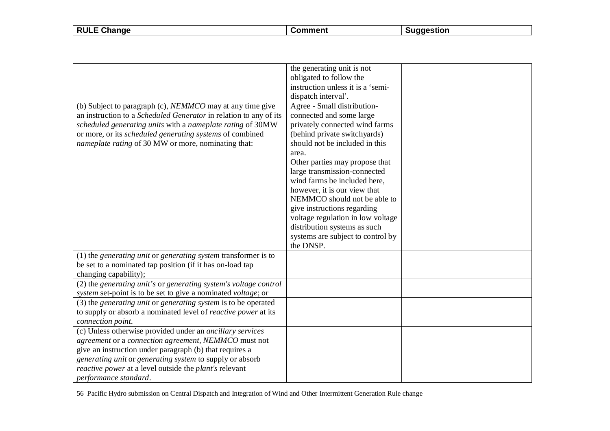| <b>RULE Change</b><br>Suggestion<br>Comment |
|---------------------------------------------|
|---------------------------------------------|

|                                                                                | the generating unit is not        |  |
|--------------------------------------------------------------------------------|-----------------------------------|--|
|                                                                                | obligated to follow the           |  |
|                                                                                | instruction unless it is a 'semi- |  |
|                                                                                | dispatch interval'.               |  |
| (b) Subject to paragraph (c), <i>NEMMCO</i> may at any time give               | Agree - Small distribution-       |  |
| an instruction to a Scheduled Generator in relation to any of its              | connected and some large          |  |
| scheduled generating units with a nameplate rating of 30MW                     | privately connected wind farms    |  |
| or more, or its scheduled generating systems of combined                       | (behind private switchyards)      |  |
| <i>nameplate rating</i> of 30 MW or more, nominating that:                     | should not be included in this    |  |
|                                                                                | area.                             |  |
|                                                                                | Other parties may propose that    |  |
|                                                                                | large transmission-connected      |  |
|                                                                                | wind farms be included here,      |  |
|                                                                                | however, it is our view that      |  |
|                                                                                | NEMMCO should not be able to      |  |
|                                                                                | give instructions regarding       |  |
|                                                                                | voltage regulation in low voltage |  |
|                                                                                | distribution systems as such      |  |
|                                                                                | systems are subject to control by |  |
|                                                                                | the DNSP.                         |  |
| $(1)$ the <i>generating unit</i> or <i>generating system</i> transformer is to |                                   |  |
| be set to a nominated tap position (if it has on-load tap                      |                                   |  |
| changing capability);                                                          |                                   |  |
| (2) the generating unit's or generating system's voltage control               |                                   |  |
| system set-point is to be set to give a nominated voltage; or                  |                                   |  |
| (3) the generating unit or generating system is to be operated                 |                                   |  |
| to supply or absorb a nominated level of <i>reactive power</i> at its          |                                   |  |
| connection point.                                                              |                                   |  |
| (c) Unless otherwise provided under an <i>ancillary services</i>               |                                   |  |
| agreement or a connection agreement, NEMMCO must not                           |                                   |  |
| give an instruction under paragraph (b) that requires a                        |                                   |  |
| generating unit or generating system to supply or absorb                       |                                   |  |
| reactive power at a level outside the plant's relevant                         |                                   |  |
| performance standard.                                                          |                                   |  |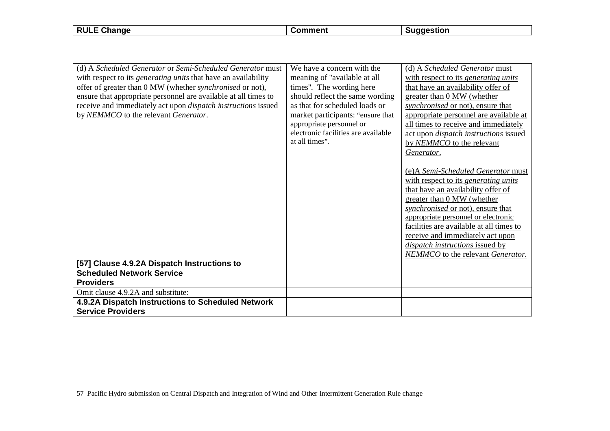**RULE Change Comment Suggestion** 

| (d) A Scheduled Generator or Semi-Scheduled Generator must<br>with respect to its <i>generating units</i> that have an availability<br>offer of greater than 0 MW (whether synchronised or not),<br>ensure that appropriate personnel are available at all times to<br>receive and immediately act upon <i>dispatch instructions</i> issued<br>by NEMMCO to the relevant Generator. | We have a concern with the<br>meaning of "available at all<br>times". The wording here<br>should reflect the same wording<br>as that for scheduled loads or<br>market participants: "ensure that<br>appropriate personnel or<br>electronic facilities are available<br>at all times". | (d) A Scheduled Generator must<br>with respect to its generating units<br>that have an availability offer of<br>greater than 0 MW (whether<br>synchronised or not), ensure that<br>appropriate personnel are available at<br>all times to receive and immediately<br>act upon <i>dispatch instructions</i> issued<br>by NEMMCO to the relevant<br>Generator.<br>(e) A Semi-Scheduled Generator must<br>with respect to its generating units<br>that have an availability offer of<br>greater than 0 MW (whether<br>synchronised or not), ensure that<br>appropriate personnel or electronic<br>facilities are available at all times to<br>receive and immediately act upon<br>dispatch instructions issued by<br><b>NEMMCO</b> to the relevant Generator. |
|-------------------------------------------------------------------------------------------------------------------------------------------------------------------------------------------------------------------------------------------------------------------------------------------------------------------------------------------------------------------------------------|---------------------------------------------------------------------------------------------------------------------------------------------------------------------------------------------------------------------------------------------------------------------------------------|------------------------------------------------------------------------------------------------------------------------------------------------------------------------------------------------------------------------------------------------------------------------------------------------------------------------------------------------------------------------------------------------------------------------------------------------------------------------------------------------------------------------------------------------------------------------------------------------------------------------------------------------------------------------------------------------------------------------------------------------------------|
| [57] Clause 4.9.2A Dispatch Instructions to                                                                                                                                                                                                                                                                                                                                         |                                                                                                                                                                                                                                                                                       |                                                                                                                                                                                                                                                                                                                                                                                                                                                                                                                                                                                                                                                                                                                                                            |
| <b>Scheduled Network Service</b>                                                                                                                                                                                                                                                                                                                                                    |                                                                                                                                                                                                                                                                                       |                                                                                                                                                                                                                                                                                                                                                                                                                                                                                                                                                                                                                                                                                                                                                            |
| <b>Providers</b>                                                                                                                                                                                                                                                                                                                                                                    |                                                                                                                                                                                                                                                                                       |                                                                                                                                                                                                                                                                                                                                                                                                                                                                                                                                                                                                                                                                                                                                                            |
| Omit clause 4.9.2A and substitute:                                                                                                                                                                                                                                                                                                                                                  |                                                                                                                                                                                                                                                                                       |                                                                                                                                                                                                                                                                                                                                                                                                                                                                                                                                                                                                                                                                                                                                                            |
| 4.9.2A Dispatch Instructions to Scheduled Network<br><b>Service Providers</b>                                                                                                                                                                                                                                                                                                       |                                                                                                                                                                                                                                                                                       |                                                                                                                                                                                                                                                                                                                                                                                                                                                                                                                                                                                                                                                                                                                                                            |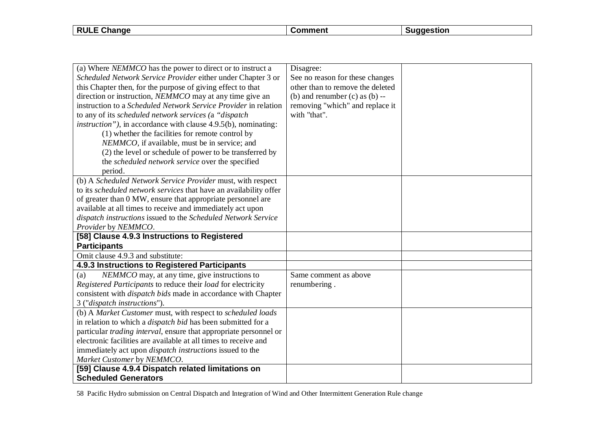**RULE Change Comment Suggestion** 

| (a) Where NEMMCO has the power to direct or to instruct a<br>Scheduled Network Service Provider either under Chapter 3 or<br>this Chapter then, for the purpose of giving effect to that<br>direction or instruction, NEMMCO may at any time give an<br>instruction to a Scheduled Network Service Provider in relation<br>to any of its scheduled network services (a "dispatch<br><i>instruction</i> "), in accordance with clause 4.9.5(b), nominating:<br>(1) whether the facilities for remote control by<br>NEMMCO, if available, must be in service; and | Disagree:<br>See no reason for these changes<br>other than to remove the deleted<br>(b) and renumber $(c)$ as $(b)$ --<br>removing "which" and replace it<br>with "that". |  |
|-----------------------------------------------------------------------------------------------------------------------------------------------------------------------------------------------------------------------------------------------------------------------------------------------------------------------------------------------------------------------------------------------------------------------------------------------------------------------------------------------------------------------------------------------------------------|---------------------------------------------------------------------------------------------------------------------------------------------------------------------------|--|
| (2) the level or schedule of power to be transferred by<br>the scheduled network service over the specified<br>period.                                                                                                                                                                                                                                                                                                                                                                                                                                          |                                                                                                                                                                           |  |
| (b) A Scheduled Network Service Provider must, with respect<br>to its scheduled network services that have an availability offer<br>of greater than 0 MW, ensure that appropriate personnel are<br>available at all times to receive and immediately act upon<br>dispatch instructions issued to the Scheduled Network Service<br>Provider by NEMMCO.                                                                                                                                                                                                           |                                                                                                                                                                           |  |
| [58] Clause 4.9.3 Instructions to Registered<br><b>Participants</b>                                                                                                                                                                                                                                                                                                                                                                                                                                                                                             |                                                                                                                                                                           |  |
| Omit clause 4.9.3 and substitute:                                                                                                                                                                                                                                                                                                                                                                                                                                                                                                                               |                                                                                                                                                                           |  |
| 4.9.3 Instructions to Registered Participants                                                                                                                                                                                                                                                                                                                                                                                                                                                                                                                   |                                                                                                                                                                           |  |
| NEMMCO may, at any time, give instructions to<br>(a)<br>Registered Participants to reduce their load for electricity<br>consistent with <i>dispatch bids</i> made in accordance with Chapter<br>3 ("dispatch instructions").                                                                                                                                                                                                                                                                                                                                    | Same comment as above<br>renumbering.                                                                                                                                     |  |
| (b) A Market Customer must, with respect to scheduled loads<br>in relation to which a <i>dispatch bid</i> has been submitted for a<br>particular <i>trading interval</i> , ensure that appropriate personnel or<br>electronic facilities are available at all times to receive and<br>immediately act upon <i>dispatch instructions</i> issued to the<br>Market Customer by NEMMCO.                                                                                                                                                                             |                                                                                                                                                                           |  |
| [59] Clause 4.9.4 Dispatch related limitations on<br><b>Scheduled Generators</b>                                                                                                                                                                                                                                                                                                                                                                                                                                                                                |                                                                                                                                                                           |  |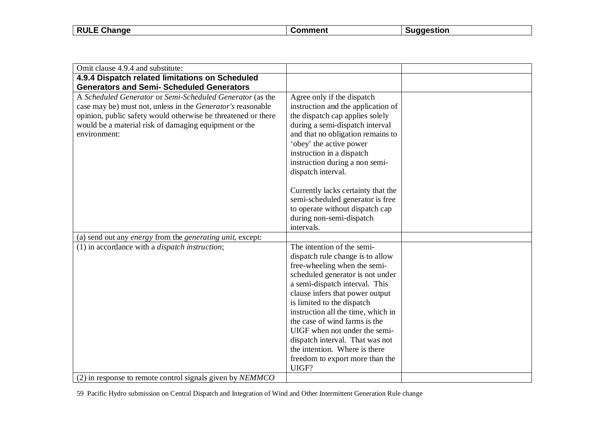| <b>RULL</b><br>Change |  |
|-----------------------|--|
|                       |  |

| Omit clause 4.9.4 and substitute:                                                                                                                                                                                                                                         |                                                                                                                                                                                                                                                                                                                                                                                                                                 |  |
|---------------------------------------------------------------------------------------------------------------------------------------------------------------------------------------------------------------------------------------------------------------------------|---------------------------------------------------------------------------------------------------------------------------------------------------------------------------------------------------------------------------------------------------------------------------------------------------------------------------------------------------------------------------------------------------------------------------------|--|
| 4.9.4 Dispatch related limitations on Scheduled                                                                                                                                                                                                                           |                                                                                                                                                                                                                                                                                                                                                                                                                                 |  |
| <b>Generators and Semi- Scheduled Generators</b>                                                                                                                                                                                                                          |                                                                                                                                                                                                                                                                                                                                                                                                                                 |  |
| A Scheduled Generator or Semi-Scheduled Generator (as the<br>case may be) must not, unless in the <i>Generator's</i> reasonable<br>opinion, public safety would otherwise be threatened or there<br>would be a material risk of damaging equipment or the<br>environment: | Agree only if the dispatch<br>instruction and the application of<br>the dispatch cap applies solely<br>during a semi-dispatch interval<br>and that no obligation remains to<br>'obey' the active power<br>instruction in a dispatch<br>instruction during a non semi-<br>dispatch interval.<br>Currently lacks certainty that the<br>semi-scheduled generator is free<br>to operate without dispatch cap                        |  |
|                                                                                                                                                                                                                                                                           | during non-semi-dispatch<br>intervals.                                                                                                                                                                                                                                                                                                                                                                                          |  |
| (a) send out any <i>energy</i> from the <i>generating unit</i> , except:                                                                                                                                                                                                  |                                                                                                                                                                                                                                                                                                                                                                                                                                 |  |
| $(1)$ in accordance with a <i>dispatch instruction</i> ;                                                                                                                                                                                                                  | The intention of the semi-                                                                                                                                                                                                                                                                                                                                                                                                      |  |
|                                                                                                                                                                                                                                                                           | dispatch rule change is to allow<br>free-wheeling when the semi-<br>scheduled generator is not under<br>a semi-dispatch interval. This<br>clause infers that power output<br>is limited to the dispatch<br>instruction all the time, which in<br>the case of wind farms is the<br>UIGF when not under the semi-<br>dispatch interval. That was not<br>the intention. Where is there<br>freedom to export more than the<br>UIGF? |  |
| (2) in response to remote control signals given by NEMMCO                                                                                                                                                                                                                 |                                                                                                                                                                                                                                                                                                                                                                                                                                 |  |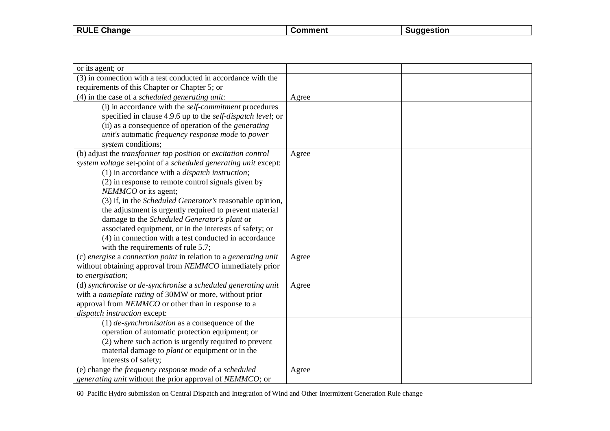| $\sim$<br><b>RULE</b><br>$-1$<br>∪nanqe | \mm∆ni<br>. | stıon<br>. 10с |
|-----------------------------------------|-------------|----------------|
|                                         |             |                |

| or its agent; or                                                     |       |
|----------------------------------------------------------------------|-------|
| (3) in connection with a test conducted in accordance with the       |       |
| requirements of this Chapter or Chapter 5; or                        |       |
| $(4)$ in the case of a scheduled generating unit:                    | Agree |
| (i) in accordance with the <i>self-commitment</i> procedures         |       |
| specified in clause 4.9.6 up to the <i>self-dispatch level</i> ; or  |       |
| (ii) as a consequence of operation of the <i>generating</i>          |       |
| unit's automatic frequency response mode to power                    |       |
| system conditions;                                                   |       |
| (b) adjust the <i>transformer</i> tap position or excitation control | Agree |
| system voltage set-point of a scheduled generating unit except:      |       |
| $(1)$ in accordance with a <i>dispatch instruction</i> ;             |       |
| (2) in response to remote control signals given by                   |       |
| NEMMCO or its agent;                                                 |       |
| (3) if, in the Scheduled Generator's reasonable opinion,             |       |
| the adjustment is urgently required to prevent material              |       |
| damage to the Scheduled Generator's plant or                         |       |
| associated equipment, or in the interests of safety; or              |       |
| (4) in connection with a test conducted in accordance                |       |
| with the requirements of rule 5.7;                                   |       |
| (c) energise a connection point in relation to a generating unit     | Agree |
| without obtaining approval from NEMMCO immediately prior             |       |
| to energisation;                                                     |       |
| (d) synchronise or de-synchronise a scheduled generating unit        | Agree |
| with a nameplate rating of 30MW or more, without prior               |       |
| approval from NEMMCO or other than in response to a                  |       |
| dispatch instruction except:                                         |       |
| $(1)$ de-synchronisation as a consequence of the                     |       |
| operation of automatic protection equipment; or                      |       |
| (2) where such action is urgently required to prevent                |       |
| material damage to plant or equipment or in the                      |       |
| interests of safety;                                                 |       |
| (e) change the frequency response mode of a scheduled                | Agree |
| generating unit without the prior approval of NEMMCO; or             |       |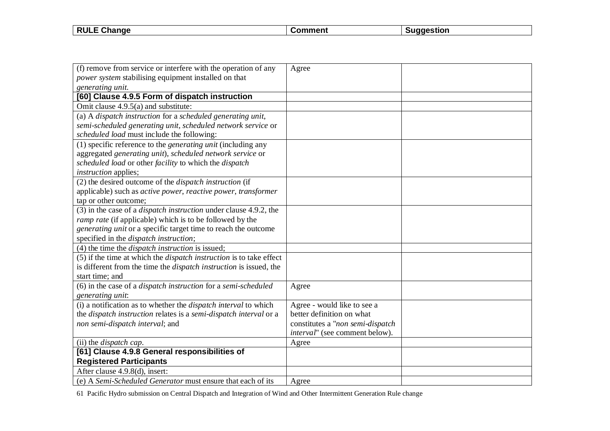| <b>RULE</b><br>Change | $\sim$ mment $\sim$<br>omn | laestion |
|-----------------------|----------------------------|----------|
|                       |                            |          |

| (f) remove from service or interfere with the operation of any                       | Agree                            |  |
|--------------------------------------------------------------------------------------|----------------------------------|--|
| power system stabilising equipment installed on that                                 |                                  |  |
| generating unit.                                                                     |                                  |  |
| [60] Clause 4.9.5 Form of dispatch instruction                                       |                                  |  |
| Omit clause 4.9.5(a) and substitute:                                                 |                                  |  |
| (a) A dispatch instruction for a scheduled generating unit,                          |                                  |  |
| semi-scheduled generating unit, scheduled network service or                         |                                  |  |
| scheduled load must include the following:                                           |                                  |  |
| (1) specific reference to the <i>generating unit</i> (including any                  |                                  |  |
| aggregated generating unit), scheduled network service or                            |                                  |  |
| scheduled load or other facility to which the dispatch                               |                                  |  |
| <i>instruction</i> applies;                                                          |                                  |  |
| (2) the desired outcome of the <i>dispatch instruction</i> (if                       |                                  |  |
| applicable) such as <i>active power</i> , <i>reactive power</i> , <i>transformer</i> |                                  |  |
| tap or other outcome;                                                                |                                  |  |
| (3) in the case of a <i>dispatch instruction</i> under clause 4.9.2, the             |                                  |  |
| ramp rate (if applicable) which is to be followed by the                             |                                  |  |
| generating unit or a specific target time to reach the outcome                       |                                  |  |
| specified in the dispatch instruction;                                               |                                  |  |
| $(4)$ the time the <i>dispatch instruction</i> is issued;                            |                                  |  |
| (5) if the time at which the <i>dispatch instruction</i> is to take effect           |                                  |  |
| is different from the time the <i>dispatch instruction</i> is issued, the            |                                  |  |
| start time; and                                                                      |                                  |  |
| (6) in the case of a <i>dispatch instruction</i> for a <i>semi-scheduled</i>         | Agree                            |  |
| generating unit:                                                                     |                                  |  |
| (i) a notification as to whether the <i>dispatch interval</i> to which               | Agree - would like to see a      |  |
| the <i>dispatch instruction</i> relates is a <i>semi-dispatch interval</i> or a      | better definition on what        |  |
| non semi-dispatch interval; and                                                      | constitutes a "non semi-dispatch |  |
|                                                                                      | interval" (see comment below).   |  |
| (ii) the <i>dispatch</i> cap.                                                        | Agree                            |  |
| [61] Clause 4.9.8 General responsibilities of                                        |                                  |  |
| <b>Registered Participants</b>                                                       |                                  |  |
| After clause 4.9.8(d), insert:                                                       |                                  |  |
| (e) A Semi-Scheduled Generator must ensure that each of its                          | Agree                            |  |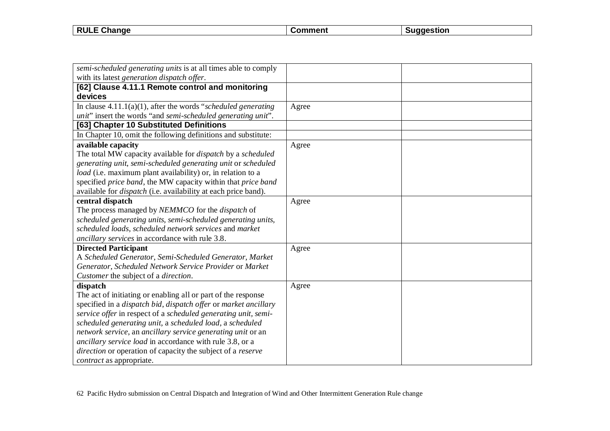| <b>RULE</b><br>ange<br>- 112 | . | . |
|------------------------------|---|---|
|                              |   |   |

| semi-scheduled generating units is at all times able to comply        |       |  |
|-----------------------------------------------------------------------|-------|--|
| with its latest generation dispatch offer.                            |       |  |
| [62] Clause 4.11.1 Remote control and monitoring                      |       |  |
| devices                                                               |       |  |
| In clause $4.11.1(a)(1)$ , after the words "scheduled generating"     | Agree |  |
| unit" insert the words "and semi-scheduled generating unit".          |       |  |
| [63] Chapter 10 Substituted Definitions                               |       |  |
| In Chapter 10, omit the following definitions and substitute:         |       |  |
| available capacity                                                    | Agree |  |
| The total MW capacity available for <i>dispatch</i> by a scheduled    |       |  |
| generating unit, semi-scheduled generating unit or scheduled          |       |  |
| load (i.e. maximum plant availability) or, in relation to a           |       |  |
| specified price band, the MW capacity within that price band          |       |  |
| available for <i>dispatch</i> (i.e. availability at each price band). |       |  |
| central dispatch                                                      | Agree |  |
| The process managed by NEMMCO for the dispatch of                     |       |  |
| scheduled generating units, semi-scheduled generating units,          |       |  |
| scheduled loads, scheduled network services and market                |       |  |
| ancillary services in accordance with rule 3.8.                       |       |  |
| <b>Directed Participant</b>                                           | Agree |  |
| A Scheduled Generator, Semi-Scheduled Generator, Market               |       |  |
| Generator, Scheduled Network Service Provider or Market               |       |  |
| Customer the subject of a direction.                                  |       |  |
| dispatch                                                              | Agree |  |
| The act of initiating or enabling all or part of the response         |       |  |
| specified in a dispatch bid, dispatch offer or market ancillary       |       |  |
| service offer in respect of a scheduled generating unit, semi-        |       |  |
| scheduled generating unit, a scheduled load, a scheduled              |       |  |
| network service, an ancillary service generating unit or an           |       |  |
| ancillary service load in accordance with rule 3.8, or a              |       |  |
| direction or operation of capacity the subject of a reserve           |       |  |
| <i>contract</i> as appropriate.                                       |       |  |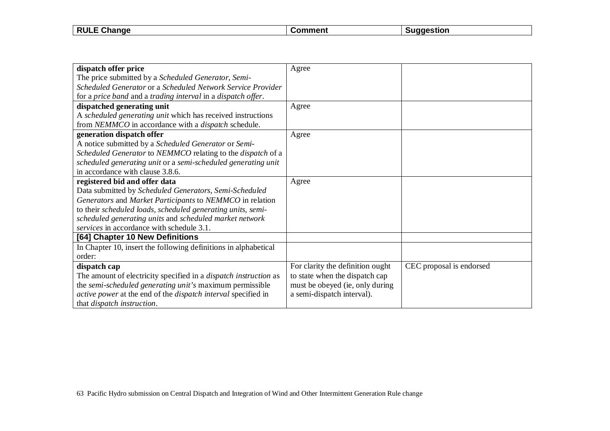| <b>RULE</b><br>Change | $\sim$ mment $\sim$<br>omn | laestion |
|-----------------------|----------------------------|----------|
|                       |                            |          |

| dispatch offer price                                                        | Agree                            |                          |
|-----------------------------------------------------------------------------|----------------------------------|--------------------------|
| The price submitted by a Scheduled Generator, Semi-                         |                                  |                          |
| Scheduled Generator or a Scheduled Network Service Provider                 |                                  |                          |
| for a price band and a trading interval in a dispatch offer.                |                                  |                          |
| dispatched generating unit                                                  | Agree                            |                          |
| A scheduled generating unit which has received instructions                 |                                  |                          |
| from NEMMCO in accordance with a <i>dispatch</i> schedule.                  |                                  |                          |
| generation dispatch offer                                                   | Agree                            |                          |
| A notice submitted by a Scheduled Generator or Semi-                        |                                  |                          |
| Scheduled Generator to NEMMCO relating to the dispatch of a                 |                                  |                          |
| scheduled generating unit or a semi-scheduled generating unit               |                                  |                          |
| in accordance with clause 3.8.6.                                            |                                  |                          |
| registered bid and offer data                                               | Agree                            |                          |
| Data submitted by Scheduled Generators, Semi-Scheduled                      |                                  |                          |
| Generators and Market Participants to NEMMCO in relation                    |                                  |                          |
| to their scheduled loads, scheduled generating units, semi-                 |                                  |                          |
| scheduled generating units and scheduled market network                     |                                  |                          |
| services in accordance with schedule 3.1.                                   |                                  |                          |
| [64] Chapter 10 New Definitions                                             |                                  |                          |
| In Chapter 10, insert the following definitions in alphabetical             |                                  |                          |
| order:                                                                      |                                  |                          |
| dispatch cap                                                                | For clarity the definition ought | CEC proposal is endorsed |
| The amount of electricity specified in a <i>dispatch instruction</i> as     | to state when the dispatch cap   |                          |
| the semi-scheduled generating unit's maximum permissible                    | must be obeyed (ie, only during  |                          |
| <i>active power</i> at the end of the <i>dispatch interval</i> specified in | a semi-dispatch interval).       |                          |
| that <i>dispatch</i> instruction.                                           |                                  |                          |